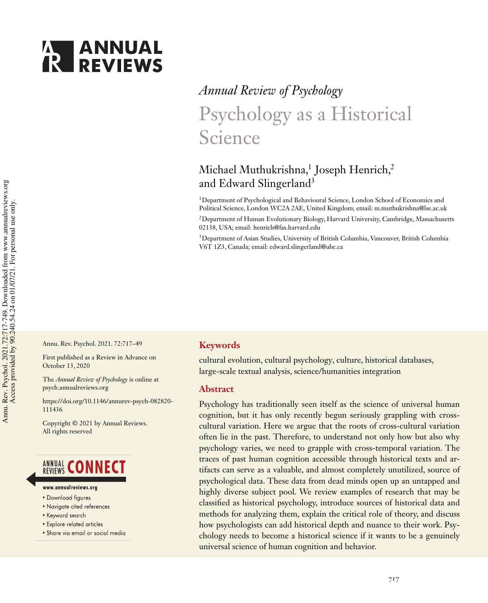

# *Annual Review of Psychology* Psychology as a Historical Science

# Michael Muthukrishna, $^1$  Joseph Henrich, $^2$ and Edward Slingerland<sup>3</sup>

<sup>1</sup>Department of Psychological and Behavioural Science, London School of Economics and Political Science, London WC2A 2AE, United Kingdom; email: m.muthukrishna@lse.ac.uk

<sup>2</sup> Department of Human Evolutionary Biology, Harvard University, Cambridge, Massachusetts 02138, USA; email: henrich@fas.harvard.edu

<sup>3</sup>Department of Asian Studies, University of British Columbia, Vancouver, British Columbia V6T 1Z3, Canada; email: edward.slingerland@ubc.ca

Annu. Rev. Psychol. 2021. 72:717–49

First published as a Review in Advance on October 13, 2020

The *Annual Review of Psychology* is online at psych.annualreviews.org

https://doi.org/10.1146/annurev-psych-082820- 111436

Copyright © 2021 by Annual Reviews. All rights reserved

# **ANNUAL CONNECT**

- www.annualreviews.ora
- Download figures
- Navigate cited references
- Keyword search
- Explore related articles
- · Share via email or social media

## **Keywords**

cultural evolution, cultural psychology, culture, historical databases, large-scale textual analysis, science/humanities integration

#### **Abstract**

Psychology has traditionally seen itself as the science of universal human cognition, but it has only recently begun seriously grappling with crosscultural variation. Here we argue that the roots of cross-cultural variation often lie in the past. Therefore, to understand not only how but also why psychology varies, we need to grapple with cross-temporal variation. The traces of past human cognition accessible through historical texts and artifacts can serve as a valuable, and almost completely unutilized, source of psychological data. These data from dead minds open up an untapped and highly diverse subject pool. We review examples of research that may be classified as historical psychology, introduce sources of historical data and methods for analyzing them, explain the critical role of theory, and discuss how psychologists can add historical depth and nuance to their work. Psychology needs to become a historical science if it wants to be a genuinely universal science of human cognition and behavior.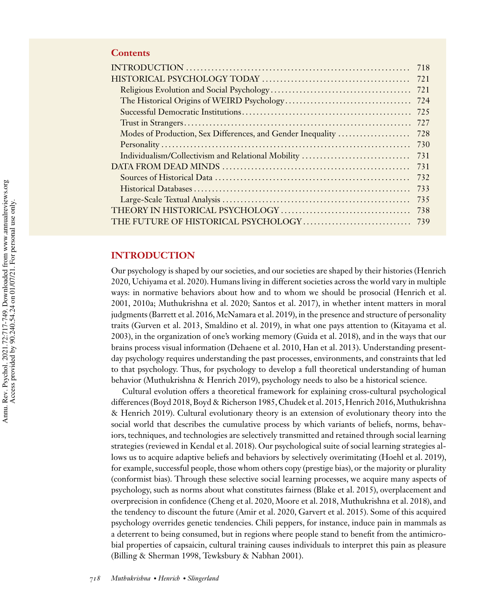# **Contents**

|                                                             | 718 |
|-------------------------------------------------------------|-----|
|                                                             | 721 |
|                                                             | 721 |
|                                                             | 724 |
|                                                             | 725 |
|                                                             | 727 |
| Modes of Production, Sex Differences, and Gender Inequality | 728 |
|                                                             | 730 |
| Individualism/Collectivism and Relational Mobility          | 731 |
|                                                             | 731 |
|                                                             | 732 |
|                                                             | 733 |
|                                                             | 735 |
|                                                             | 738 |
|                                                             | 739 |

# **INTRODUCTION**

Our psychology is shaped by our societies, and our societies are shaped by their histories (Henrich 2020, Uchiyama et al. 2020). Humans living in different societies across the world vary in multiple ways: in normative behaviors about how and to whom we should be prosocial (Henrich et al. 2001, 2010a; Muthukrishna et al. 2020; Santos et al. 2017), in whether intent matters in moral judgments (Barrett et al. 2016, McNamara et al. 2019), in the presence and structure of personality traits (Gurven et al. 2013, Smaldino et al. 2019), in what one pays attention to (Kitayama et al. 2003), in the organization of one's working memory (Guida et al. 2018), and in the ways that our brains process visual information (Dehaene et al. 2010, Han et al. 2013). Understanding presentday psychology requires understanding the past processes, environments, and constraints that led to that psychology. Thus, for psychology to develop a full theoretical understanding of human behavior (Muthukrishna & Henrich 2019), psychology needs to also be a historical science.

Cultural evolution offers a theoretical framework for explaining cross-cultural psychological differences (Boyd 2018, Boyd & Richerson 1985, Chudek et al. 2015, Henrich 2016, Muthukrishna & Henrich 2019). Cultural evolutionary theory is an extension of evolutionary theory into the social world that describes the cumulative process by which variants of beliefs, norms, behaviors, techniques, and technologies are selectively transmitted and retained through social learning strategies (reviewed in Kendal et al. 2018). Our psychological suite of social learning strategies allows us to acquire adaptive beliefs and behaviors by selectively overimitating (Hoehl et al. 2019), for example, successful people, those whom others copy (prestige bias), or the majority or plurality (conformist bias). Through these selective social learning processes, we acquire many aspects of psychology, such as norms about what constitutes fairness (Blake et al. 2015), overplacement and overprecision in confidence (Cheng et al. 2020, Moore et al. 2018, Muthukrishna et al. 2018), and the tendency to discount the future (Amir et al. 2020, Garvert et al. 2015). Some of this acquired psychology overrides genetic tendencies. Chili peppers, for instance, induce pain in mammals as a deterrent to being consumed, but in regions where people stand to benefit from the antimicrobial properties of capsaicin, cultural training causes individuals to interpret this pain as pleasure (Billing & Sherman 1998, Tewksbury & Nabhan 2001).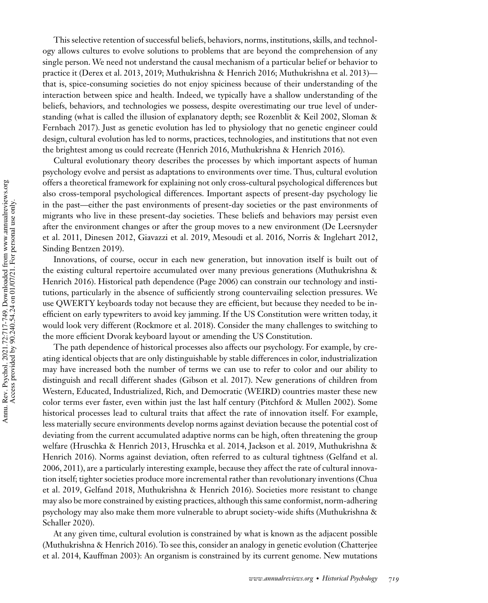This selective retention of successful beliefs, behaviors, norms, institutions, skills, and technology allows cultures to evolve solutions to problems that are beyond the comprehension of any single person. We need not understand the causal mechanism of a particular belief or behavior to practice it (Derex et al. 2013, 2019; Muthukrishna & Henrich 2016; Muthukrishna et al. 2013) that is, spice-consuming societies do not enjoy spiciness because of their understanding of the interaction between spice and health. Indeed, we typically have a shallow understanding of the beliefs, behaviors, and technologies we possess, despite overestimating our true level of understanding (what is called the illusion of explanatory depth; see Rozenblit & Keil 2002, Sloman & Fernbach 2017). Just as genetic evolution has led to physiology that no genetic engineer could design, cultural evolution has led to norms, practices, technologies, and institutions that not even the brightest among us could recreate (Henrich 2016, Muthukrishna & Henrich 2016).

Cultural evolutionary theory describes the processes by which important aspects of human psychology evolve and persist as adaptations to environments over time. Thus, cultural evolution offers a theoretical framework for explaining not only cross-cultural psychological differences but also cross-temporal psychological differences. Important aspects of present-day psychology lie in the past—either the past environments of present-day societies or the past environments of migrants who live in these present-day societies. These beliefs and behaviors may persist even after the environment changes or after the group moves to a new environment (De Leersnyder et al. 2011, Dinesen 2012, Giavazzi et al. 2019, Mesoudi et al. 2016, Norris & Inglehart 2012, Sinding Bentzen 2019).

Innovations, of course, occur in each new generation, but innovation itself is built out of the existing cultural repertoire accumulated over many previous generations (Muthukrishna & Henrich 2016). Historical path dependence (Page 2006) can constrain our technology and institutions, particularly in the absence of sufficiently strong countervailing selection pressures. We use QWERTY keyboards today not because they are efficient, but because they needed to be inefficient on early typewriters to avoid key jamming. If the US Constitution were written today, it would look very different (Rockmore et al. 2018). Consider the many challenges to switching to the more efficient Dvorak keyboard layout or amending the US Constitution.

The path dependence of historical processes also affects our psychology. For example, by creating identical objects that are only distinguishable by stable differences in color, industrialization may have increased both the number of terms we can use to refer to color and our ability to distinguish and recall different shades (Gibson et al. 2017). New generations of children from Western, Educated, Industrialized, Rich, and Democratic (WEIRD) countries master these new color terms ever faster, even within just the last half century (Pitchford & Mullen 2002). Some historical processes lead to cultural traits that affect the rate of innovation itself. For example, less materially secure environments develop norms against deviation because the potential cost of deviating from the current accumulated adaptive norms can be high, often threatening the group welfare (Hruschka & Henrich 2013, Hruschka et al. 2014, Jackson et al. 2019, Muthukrishna & Henrich 2016). Norms against deviation, often referred to as cultural tightness (Gelfand et al. 2006, 2011), are a particularly interesting example, because they affect the rate of cultural innovation itself; tighter societies produce more incremental rather than revolutionary inventions (Chua et al. 2019, Gelfand 2018, Muthukrishna & Henrich 2016). Societies more resistant to change may also be more constrained by existing practices, although this same conformist, norm-adhering psychology may also make them more vulnerable to abrupt society-wide shifts (Muthukrishna & Schaller 2020).

At any given time, cultural evolution is constrained by what is known as the adjacent possible (Muthukrishna & Henrich 2016). To see this, consider an analogy in genetic evolution (Chatterjee et al. 2014, Kauffman 2003): An organism is constrained by its current genome. New mutations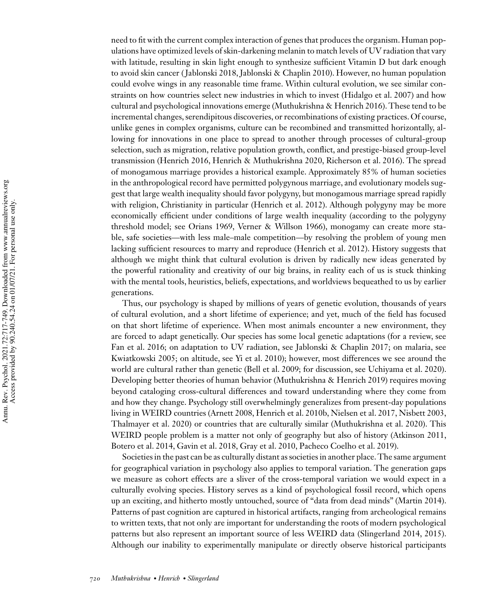need to fit with the current complex interaction of genes that produces the organism. Human populations have optimized levels of skin-darkening melanin to match levels of UV radiation that vary with latitude, resulting in skin light enough to synthesize sufficient Vitamin D but dark enough to avoid skin cancer (Jablonski 2018, Jablonski & Chaplin 2010). However, no human population could evolve wings in any reasonable time frame. Within cultural evolution, we see similar constraints on how countries select new industries in which to invest (Hidalgo et al. 2007) and how cultural and psychological innovations emerge (Muthukrishna & Henrich 2016). These tend to be incremental changes, serendipitous discoveries, or recombinations of existing practices. Of course, unlike genes in complex organisms, culture can be recombined and transmitted horizontally, allowing for innovations in one place to spread to another through processes of cultural-group selection, such as migration, relative population growth, conflict, and prestige-biased group-level transmission (Henrich 2016, Henrich & Muthukrishna 2020, Richerson et al. 2016). The spread of monogamous marriage provides a historical example. Approximately 85% of human societies in the anthropological record have permitted polygynous marriage, and evolutionary models suggest that large wealth inequality should favor polygyny, but monogamous marriage spread rapidly with religion, Christianity in particular (Henrich et al. 2012). Although polygyny may be more economically efficient under conditions of large wealth inequality (according to the polygyny threshold model; see Orians 1969, Verner & Willson 1966), monogamy can create more stable, safe societies—with less male–male competition—by resolving the problem of young men lacking sufficient resources to marry and reproduce (Henrich et al. 2012). History suggests that although we might think that cultural evolution is driven by radically new ideas generated by the powerful rationality and creativity of our big brains, in reality each of us is stuck thinking with the mental tools, heuristics, beliefs, expectations, and worldviews bequeathed to us by earlier generations.

Thus, our psychology is shaped by millions of years of genetic evolution, thousands of years of cultural evolution, and a short lifetime of experience; and yet, much of the field has focused on that short lifetime of experience. When most animals encounter a new environment, they are forced to adapt genetically. Our species has some local genetic adaptations (for a review, see Fan et al. 2016; on adaptation to UV radiation, see Jablonski & Chaplin 2017; on malaria, see Kwiatkowski 2005; on altitude, see Yi et al. 2010); however, most differences we see around the world are cultural rather than genetic (Bell et al. 2009; for discussion, see Uchiyama et al. 2020). Developing better theories of human behavior (Muthukrishna & Henrich 2019) requires moving beyond cataloging cross-cultural differences and toward understanding where they come from and how they change. Psychology still overwhelmingly generalizes from present-day populations living in WEIRD countries (Arnett 2008, Henrich et al. 2010b, Nielsen et al. 2017, Nisbett 2003, Thalmayer et al. 2020) or countries that are culturally similar (Muthukrishna et al. 2020). This WEIRD people problem is a matter not only of geography but also of history (Atkinson 2011, Botero et al. 2014, Gavin et al. 2018, Gray et al. 2010, Pacheco Coelho et al. 2019).

Societies in the past can be as culturally distant as societies in another place. The same argument for geographical variation in psychology also applies to temporal variation. The generation gaps we measure as cohort effects are a sliver of the cross-temporal variation we would expect in a culturally evolving species. History serves as a kind of psychological fossil record, which opens up an exciting, and hitherto mostly untouched, source of "data from dead minds" (Martin 2014). Patterns of past cognition are captured in historical artifacts, ranging from archeological remains to written texts, that not only are important for understanding the roots of modern psychological patterns but also represent an important source of less WEIRD data (Slingerland 2014, 2015). Although our inability to experimentally manipulate or directly observe historical participants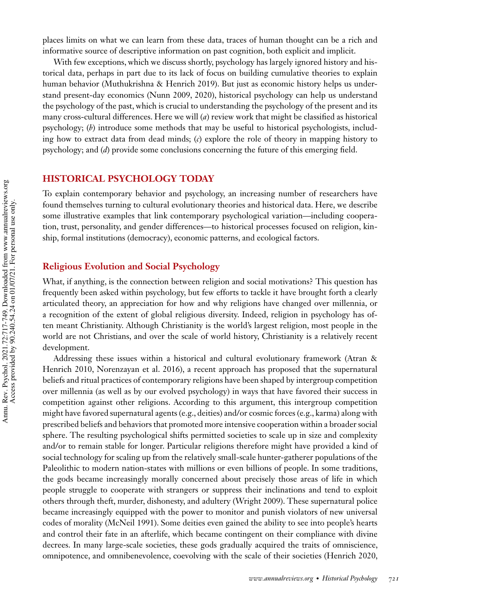places limits on what we can learn from these data, traces of human thought can be a rich and informative source of descriptive information on past cognition, both explicit and implicit.

With few exceptions, which we discuss shortly, psychology has largely ignored history and historical data, perhaps in part due to its lack of focus on building cumulative theories to explain human behavior (Muthukrishna & Henrich 2019). But just as economic history helps us understand present-day economics (Nunn 2009, 2020), historical psychology can help us understand the psychology of the past, which is crucial to understanding the psychology of the present and its many cross-cultural differences. Here we will (*a*) review work that might be classified as historical psychology; (*b*) introduce some methods that may be useful to historical psychologists, including how to extract data from dead minds; (*c*) explore the role of theory in mapping history to psychology; and (*d*) provide some conclusions concerning the future of this emerging field.

# **HISTORICAL PSYCHOLOGY TODAY**

To explain contemporary behavior and psychology, an increasing number of researchers have found themselves turning to cultural evolutionary theories and historical data. Here, we describe some illustrative examples that link contemporary psychological variation—including cooperation, trust, personality, and gender differences—to historical processes focused on religion, kinship, formal institutions (democracy), economic patterns, and ecological factors.

#### **Religious Evolution and Social Psychology**

What, if anything, is the connection between religion and social motivations? This question has frequently been asked within psychology, but few efforts to tackle it have brought forth a clearly articulated theory, an appreciation for how and why religions have changed over millennia, or a recognition of the extent of global religious diversity. Indeed, religion in psychology has often meant Christianity. Although Christianity is the world's largest religion, most people in the world are not Christians, and over the scale of world history, Christianity is a relatively recent development.

Addressing these issues within a historical and cultural evolutionary framework (Atran & Henrich 2010, Norenzayan et al. 2016), a recent approach has proposed that the supernatural beliefs and ritual practices of contemporary religions have been shaped by intergroup competition over millennia (as well as by our evolved psychology) in ways that have favored their success in competition against other religions. According to this argument, this intergroup competition might have favored supernatural agents (e.g., deities) and/or cosmic forces (e.g., karma) along with prescribed beliefs and behaviors that promoted more intensive cooperation within a broader social sphere. The resulting psychological shifts permitted societies to scale up in size and complexity and/or to remain stable for longer. Particular religions therefore might have provided a kind of social technology for scaling up from the relatively small-scale hunter-gatherer populations of the Paleolithic to modern nation-states with millions or even billions of people. In some traditions, the gods became increasingly morally concerned about precisely those areas of life in which people struggle to cooperate with strangers or suppress their inclinations and tend to exploit others through theft, murder, dishonesty, and adultery (Wright 2009). These supernatural police became increasingly equipped with the power to monitor and punish violators of new universal codes of morality (McNeil 1991). Some deities even gained the ability to see into people's hearts and control their fate in an afterlife, which became contingent on their compliance with divine decrees. In many large-scale societies, these gods gradually acquired the traits of omniscience, omnipotence, and omnibenevolence, coevolving with the scale of their societies (Henrich 2020,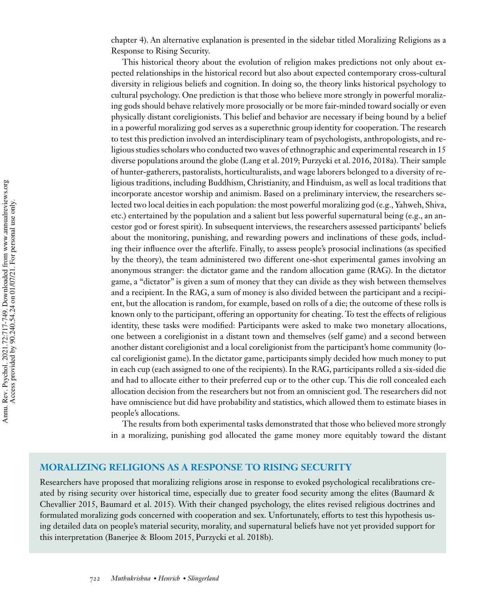chapter 4). An alternative explanation is presented in the sidebar titled Moralizing Religions as a Response to Rising Security.

This historical theory about the evolution of religion makes predictions not only about expected relationships in the historical record but also about expected contemporary cross-cultural diversity in religious beliefs and cognition. In doing so, the theory links historical psychology to cultural psychology. One prediction is that those who believe more strongly in powerful moralizing gods should behave relatively more prosocially or be more fair-minded toward socially or even physically distant coreligionists. This belief and behavior are necessary if being bound by a belief in a powerful moralizing god serves as a superethnic group identity for cooperation. The research to test this prediction involved an interdisciplinary team of psychologists, anthropologists, and religious studies scholars who conducted two waves of ethnographic and experimental research in 15 diverse populations around the globe (Lang et al. 2019; Purzycki et al. 2016, 2018a). Their sample of hunter-gatherers, pastoralists, horticulturalists, and wage laborers belonged to a diversity of religious traditions, including Buddhism, Christianity, and Hinduism, as well as local traditions that incorporate ancestor worship and animism. Based on a preliminary interview, the researchers selected two local deities in each population: the most powerful moralizing god (e.g., Yahweh, Shiva, etc.) entertained by the population and a salient but less powerful supernatural being (e.g., an ancestor god or forest spirit). In subsequent interviews, the researchers assessed participants' beliefs about the monitoring, punishing, and rewarding powers and inclinations of these gods, including their influence over the afterlife. Finally, to assess people's prosocial inclinations (as specified by the theory), the team administered two different one-shot experimental games involving an anonymous stranger: the dictator game and the random allocation game (RAG). In the dictator game, a "dictator" is given a sum of money that they can divide as they wish between themselves and a recipient. In the RAG, a sum of money is also divided between the participant and a recipient, but the allocation is random, for example, based on rolls of a die; the outcome of these rolls is known only to the participant, offering an opportunity for cheating. To test the effects of religious identity, these tasks were modified: Participants were asked to make two monetary allocations, one between a coreligionist in a distant town and themselves (self game) and a second between another distant coreligionist and a local coreligionist from the participant's home community (local coreligionist game). In the dictator game, participants simply decided how much money to put in each cup (each assigned to one of the recipients). In the RAG, participants rolled a six-sided die and had to allocate either to their preferred cup or to the other cup. This die roll concealed each allocation decision from the researchers but not from an omniscient god. The researchers did not have omniscience but did have probability and statistics, which allowed them to estimate biases in people's allocations.

The results from both experimental tasks demonstrated that those who believed more strongly in a moralizing, punishing god allocated the game money more equitably toward the distant

# **MORALIZING RELIGIONS AS A RESPONSE TO RISING SECURITY**

Researchers have proposed that moralizing religions arose in response to evoked psychological recalibrations created by rising security over historical time, especially due to greater food security among the elites (Baumard & Chevallier 2015, Baumard et al. 2015). With their changed psychology, the elites revised religious doctrines and formulated moralizing gods concerned with cooperation and sex. Unfortunately, efforts to test this hypothesis using detailed data on people's material security, morality, and supernatural beliefs have not yet provided support for this interpretation (Banerjee & Bloom 2015, Purzycki et al. 2018b).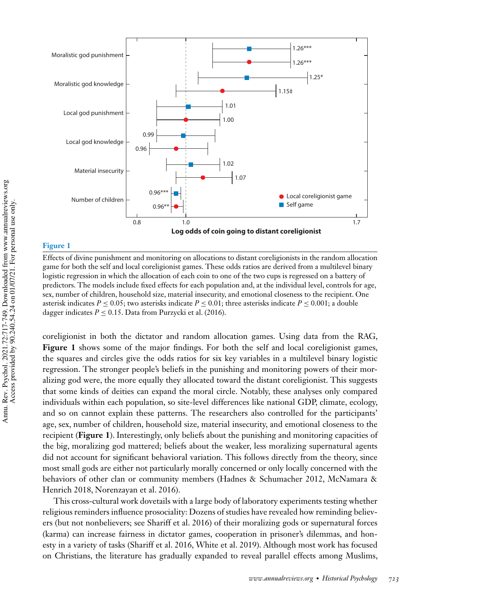

# **Figure 1**

Effects of divine punishment and monitoring on allocations to distant coreligionists in the random allocation game for both the self and local coreligionist games. These odds ratios are derived from a multilevel binary logistic regression in which the allocation of each coin to one of the two cups is regressed on a battery of predictors. The models include fixed effects for each population and, at the individual level, controls for age, sex, number of children, household size, material insecurity, and emotional closeness to the recipient. One asterisk indicates  $P \le 0.05$ ; two asterisks indicate  $P \le 0.01$ ; three asterisks indicate  $P \le 0.001$ ; a double dagger indicates  $P \leq 0.15$ . Data from Purzycki et al. (2016).

coreligionist in both the dictator and random allocation games. Using data from the RAG, **Figure 1** shows some of the major findings. For both the self and local coreligionist games, the squares and circles give the odds ratios for six key variables in a multilevel binary logistic regression. The stronger people's beliefs in the punishing and monitoring powers of their moralizing god were, the more equally they allocated toward the distant coreligionist. This suggests that some kinds of deities can expand the moral circle. Notably, these analyses only compared individuals within each population, so site-level differences like national GDP, climate, ecology, and so on cannot explain these patterns. The researchers also controlled for the participants' age, sex, number of children, household size, material insecurity, and emotional closeness to the recipient (**Figure 1**). Interestingly, only beliefs about the punishing and monitoring capacities of the big, moralizing god mattered; beliefs about the weaker, less moralizing supernatural agents did not account for significant behavioral variation. This follows directly from the theory, since most small gods are either not particularly morally concerned or only locally concerned with the behaviors of other clan or community members (Hadnes & Schumacher 2012, McNamara & Henrich 2018, Norenzayan et al. 2016).

This cross-cultural work dovetails with a large body of laboratory experiments testing whether religious reminders influence prosociality: Dozens of studies have revealed how reminding believers (but not nonbelievers; see Shariff et al. 2016) of their moralizing gods or supernatural forces (karma) can increase fairness in dictator games, cooperation in prisoner's dilemmas, and honesty in a variety of tasks (Shariff et al. 2016, White et al. 2019). Although most work has focused on Christians, the literature has gradually expanded to reveal parallel effects among Muslims,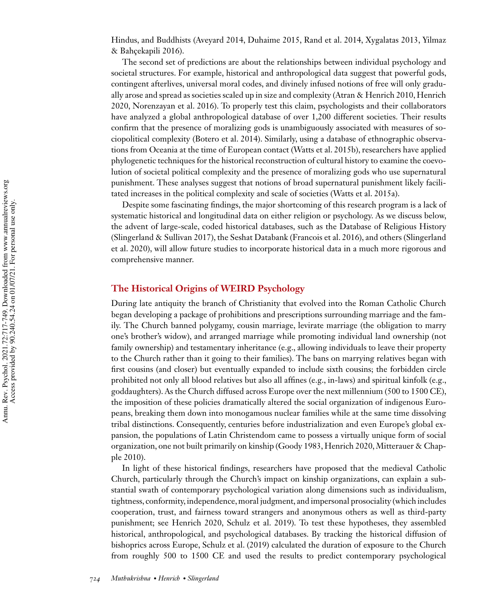Hindus, and Buddhists (Aveyard 2014, Duhaime 2015, Rand et al. 2014, Xygalatas 2013, Yilmaz & Bahçekapili 2016).

The second set of predictions are about the relationships between individual psychology and societal structures. For example, historical and anthropological data suggest that powerful gods, contingent afterlives, universal moral codes, and divinely infused notions of free will only gradually arose and spread as societies scaled up in size and complexity (Atran & Henrich 2010, Henrich 2020, Norenzayan et al. 2016). To properly test this claim, psychologists and their collaborators have analyzed a global anthropological database of over 1,200 different societies. Their results confirm that the presence of moralizing gods is unambiguously associated with measures of sociopolitical complexity (Botero et al. 2014). Similarly, using a database of ethnographic observations from Oceania at the time of European contact (Watts et al. 2015b), researchers have applied phylogenetic techniques for the historical reconstruction of cultural history to examine the coevolution of societal political complexity and the presence of moralizing gods who use supernatural punishment. These analyses suggest that notions of broad supernatural punishment likely facilitated increases in the political complexity and scale of societies (Watts et al. 2015a).

Despite some fascinating findings, the major shortcoming of this research program is a lack of systematic historical and longitudinal data on either religion or psychology. As we discuss below, the advent of large-scale, coded historical databases, such as the Database of Religious History (Slingerland & Sullivan 2017), the Seshat Databank (Francois et al. 2016), and others (Slingerland et al. 2020), will allow future studies to incorporate historical data in a much more rigorous and comprehensive manner.

# **The Historical Origins of WEIRD Psychology**

During late antiquity the branch of Christianity that evolved into the Roman Catholic Church began developing a package of prohibitions and prescriptions surrounding marriage and the family. The Church banned polygamy, cousin marriage, levirate marriage (the obligation to marry one's brother's widow), and arranged marriage while promoting individual land ownership (not family ownership) and testamentary inheritance (e.g., allowing individuals to leave their property to the Church rather than it going to their families). The bans on marrying relatives began with first cousins (and closer) but eventually expanded to include sixth cousins; the forbidden circle prohibited not only all blood relatives but also all affines (e.g., in-laws) and spiritual kinfolk (e.g., goddaughters). As the Church diffused across Europe over the next millennium (500 to 1500 CE), the imposition of these policies dramatically altered the social organization of indigenous Europeans, breaking them down into monogamous nuclear families while at the same time dissolving tribal distinctions. Consequently, centuries before industrialization and even Europe's global expansion, the populations of Latin Christendom came to possess a virtually unique form of social organization, one not built primarily on kinship (Goody 1983, Henrich 2020, Mitterauer & Chapple 2010).

In light of these historical findings, researchers have proposed that the medieval Catholic Church, particularly through the Church's impact on kinship organizations, can explain a substantial swath of contemporary psychological variation along dimensions such as individualism, tightness, conformity, independence, moral judgment, and impersonal prosociality (which includes cooperation, trust, and fairness toward strangers and anonymous others as well as third-party punishment; see Henrich 2020, Schulz et al. 2019). To test these hypotheses, they assembled historical, anthropological, and psychological databases. By tracking the historical diffusion of bishoprics across Europe, Schulz et al. (2019) calculated the duration of exposure to the Church from roughly 500 to 1500 CE and used the results to predict contemporary psychological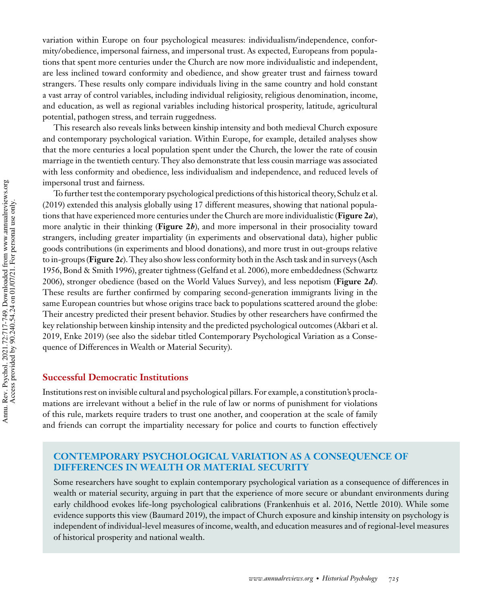variation within Europe on four psychological measures: individualism/independence, conformity/obedience, impersonal fairness, and impersonal trust. As expected, Europeans from populations that spent more centuries under the Church are now more individualistic and independent, are less inclined toward conformity and obedience, and show greater trust and fairness toward strangers. These results only compare individuals living in the same country and hold constant a vast array of control variables, including individual religiosity, religious denomination, income, and education, as well as regional variables including historical prosperity, latitude, agricultural potential, pathogen stress, and terrain ruggedness.

This research also reveals links between kinship intensity and both medieval Church exposure and contemporary psychological variation. Within Europe, for example, detailed analyses show that the more centuries a local population spent under the Church, the lower the rate of cousin marriage in the twentieth century. They also demonstrate that less cousin marriage was associated with less conformity and obedience, less individualism and independence, and reduced levels of impersonal trust and fairness.

To further test the contemporary psychological predictions of this historical theory, Schulz et al. (2019) extended this analysis globally using 17 different measures, showing that national populations that have experienced more centuries under the Church are more individualistic (**Figure 2***a*), more analytic in their thinking (**Figure 2***b*), and more impersonal in their prosociality toward strangers, including greater impartiality (in experiments and observational data), higher public goods contributions (in experiments and blood donations), and more trust in out-groups relative to in-groups (**Figure 2***c*). They also show less conformity both in the Asch task and in surveys (Asch 1956, Bond & Smith 1996), greater tightness (Gelfand et al. 2006), more embeddedness (Schwartz 2006), stronger obedience (based on the World Values Survey), and less nepotism (**Figure 2***d*). These results are further confirmed by comparing second-generation immigrants living in the same European countries but whose origins trace back to populations scattered around the globe: Their ancestry predicted their present behavior. Studies by other researchers have confirmed the key relationship between kinship intensity and the predicted psychological outcomes (Akbari et al. 2019, Enke 2019) (see also the sidebar titled Contemporary Psychological Variation as a Consequence of Differences in Wealth or Material Security).

# **Successful Democratic Institutions**

Institutions rest on invisible cultural and psychological pillars. For example, a constitution's proclamations are irrelevant without a belief in the rule of law or norms of punishment for violations of this rule, markets require traders to trust one another, and cooperation at the scale of family and friends can corrupt the impartiality necessary for police and courts to function effectively

# **CONTEMPORARY PSYCHOLOGICAL VARIATION AS A CONSEQUENCE OF DIFFERENCES IN WEALTH OR MATERIAL SECURITY**

Some researchers have sought to explain contemporary psychological variation as a consequence of differences in wealth or material security, arguing in part that the experience of more secure or abundant environments during early childhood evokes life-long psychological calibrations (Frankenhuis et al. 2016, Nettle 2010). While some evidence supports this view (Baumard 2019), the impact of Church exposure and kinship intensity on psychology is independent of individual-level measures of income, wealth, and education measures and of regional-level measures of historical prosperity and national wealth.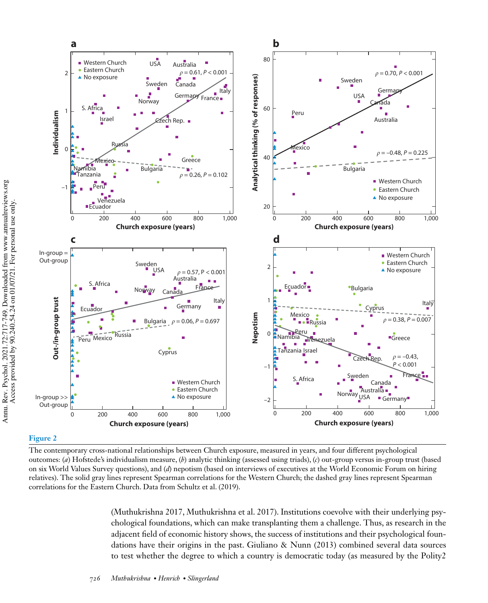

#### **Figure 2**

The contemporary cross-national relationships between Church exposure, measured in years, and four different psychological outcomes: (*a*) Hofstede's individualism measure, (*b*) analytic thinking (assessed using triads), (*c*) out-group versus in-group trust (based on six World Values Survey questions), and (*d*) nepotism (based on interviews of executives at the World Economic Forum on hiring relatives). The solid gray lines represent Spearman correlations for the Western Church; the dashed gray lines represent Spearman correlations for the Eastern Church. Data from Schultz et al. (2019).

(Muthukrishna 2017, Muthukrishna et al. 2017). Institutions coevolve with their underlying psychological foundations, which can make transplanting them a challenge. Thus, as research in the adjacent field of economic history shows, the success of institutions and their psychological foundations have their origins in the past. Giuliano & Nunn (2013) combined several data sources to test whether the degree to which a country is democratic today (as measured by the Polity2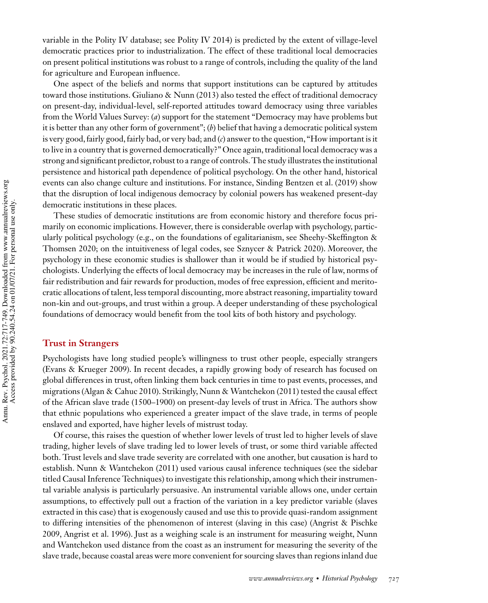variable in the Polity IV database; see Polity IV 2014) is predicted by the extent of village-level democratic practices prior to industrialization. The effect of these traditional local democracies on present political institutions was robust to a range of controls, including the quality of the land for agriculture and European influence.

One aspect of the beliefs and norms that support institutions can be captured by attitudes toward those institutions. Giuliano & Nunn (2013) also tested the effect of traditional democracy on present-day, individual-level, self-reported attitudes toward democracy using three variables from the World Values Survey: (*a*) support for the statement "Democracy may have problems but it is better than any other form of government"; (*b*) belief that having a democratic political system is very good, fairly good, fairly bad, or very bad; and (*c*) answer to the question, "How important is it to live in a country that is governed democratically?" Once again, traditional local democracy was a strong and significant predictor, robust to a range of controls. The study illustrates the institutional persistence and historical path dependence of political psychology. On the other hand, historical events can also change culture and institutions. For instance, Sinding Bentzen et al. (2019) show that the disruption of local indigenous democracy by colonial powers has weakened present-day democratic institutions in these places.

These studies of democratic institutions are from economic history and therefore focus primarily on economic implications. However, there is considerable overlap with psychology, particularly political psychology (e.g., on the foundations of egalitarianism, see Sheehy-Skeffington & Thomsen 2020; on the intuitiveness of legal codes, see Sznycer & Patrick 2020). Moreover, the psychology in these economic studies is shallower than it would be if studied by historical psychologists. Underlying the effects of local democracy may be increases in the rule of law, norms of fair redistribution and fair rewards for production, modes of free expression, efficient and meritocratic allocations of talent, less temporal discounting, more abstract reasoning, impartiality toward non-kin and out-groups, and trust within a group. A deeper understanding of these psychological foundations of democracy would benefit from the tool kits of both history and psychology.

#### **Trust in Strangers**

Psychologists have long studied people's willingness to trust other people, especially strangers (Evans & Krueger 2009). In recent decades, a rapidly growing body of research has focused on global differences in trust, often linking them back centuries in time to past events, processes, and migrations (Algan & Cahuc 2010). Strikingly, Nunn & Wantchekon (2011) tested the causal effect of the African slave trade (1500–1900) on present-day levels of trust in Africa. The authors show that ethnic populations who experienced a greater impact of the slave trade, in terms of people enslaved and exported, have higher levels of mistrust today.

Of course, this raises the question of whether lower levels of trust led to higher levels of slave trading, higher levels of slave trading led to lower levels of trust, or some third variable affected both. Trust levels and slave trade severity are correlated with one another, but causation is hard to establish. Nunn & Wantchekon (2011) used various causal inference techniques (see the sidebar titled Causal Inference Techniques) to investigate this relationship, among which their instrumental variable analysis is particularly persuasive. An instrumental variable allows one, under certain assumptions, to effectively pull out a fraction of the variation in a key predictor variable (slaves extracted in this case) that is exogenously caused and use this to provide quasi-random assignment to differing intensities of the phenomenon of interest (slaving in this case) (Angrist & Pischke 2009, Angrist et al. 1996). Just as a weighing scale is an instrument for measuring weight, Nunn and Wantchekon used distance from the coast as an instrument for measuring the severity of the slave trade, because coastal areas were more convenient for sourcing slaves than regions inland due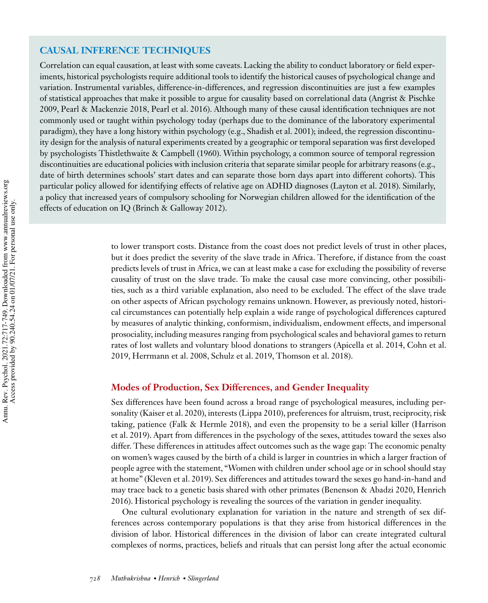# **CAUSAL INFERENCE TECHNIQUES**

Correlation can equal causation, at least with some caveats. Lacking the ability to conduct laboratory or field experiments, historical psychologists require additional tools to identify the historical causes of psychological change and variation. Instrumental variables, difference-in-differences, and regression discontinuities are just a few examples of statistical approaches that make it possible to argue for causality based on correlational data (Angrist & Pischke 2009, Pearl & Mackenzie 2018, Pearl et al. 2016). Although many of these causal identification techniques are not commonly used or taught within psychology today (perhaps due to the dominance of the laboratory experimental paradigm), they have a long history within psychology (e.g., Shadish et al. 2001); indeed, the regression discontinuity design for the analysis of natural experiments created by a geographic or temporal separation was first developed by psychologists Thistlethwaite & Campbell (1960). Within psychology, a common source of temporal regression discontinuities are educational policies with inclusion criteria that separate similar people for arbitrary reasons (e.g., date of birth determines schools' start dates and can separate those born days apart into different cohorts). This particular policy allowed for identifying effects of relative age on ADHD diagnoses (Layton et al. 2018). Similarly, a policy that increased years of compulsory schooling for Norwegian children allowed for the identification of the effects of education on IQ (Brinch & Galloway 2012).

> to lower transport costs. Distance from the coast does not predict levels of trust in other places, but it does predict the severity of the slave trade in Africa. Therefore, if distance from the coast predicts levels of trust in Africa, we can at least make a case for excluding the possibility of reverse causality of trust on the slave trade. To make the causal case more convincing, other possibilities, such as a third variable explanation, also need to be excluded. The effect of the slave trade on other aspects of African psychology remains unknown. However, as previously noted, historical circumstances can potentially help explain a wide range of psychological differences captured by measures of analytic thinking, conformism, individualism, endowment effects, and impersonal prosociality, including measures ranging from psychological scales and behavioral games to return rates of lost wallets and voluntary blood donations to strangers (Apicella et al. 2014, Cohn et al. 2019, Herrmann et al. 2008, Schulz et al. 2019, Thomson et al. 2018).

## **Modes of Production, Sex Differences, and Gender Inequality**

Sex differences have been found across a broad range of psychological measures, including personality (Kaiser et al. 2020), interests (Lippa 2010), preferences for altruism, trust, reciprocity, risk taking, patience (Falk & Hermle 2018), and even the propensity to be a serial killer (Harrison et al. 2019). Apart from differences in the psychology of the sexes, attitudes toward the sexes also differ. These differences in attitudes affect outcomes such as the wage gap: The economic penalty on women's wages caused by the birth of a child is larger in countries in which a larger fraction of people agree with the statement, "Women with children under school age or in school should stay at home" (Kleven et al. 2019). Sex differences and attitudes toward the sexes go hand-in-hand and may trace back to a genetic basis shared with other primates (Benenson & Abadzi 2020, Henrich 2016). Historical psychology is revealing the sources of the variation in gender inequality.

One cultural evolutionary explanation for variation in the nature and strength of sex differences across contemporary populations is that they arise from historical differences in the division of labor. Historical differences in the division of labor can create integrated cultural complexes of norms, practices, beliefs and rituals that can persist long after the actual economic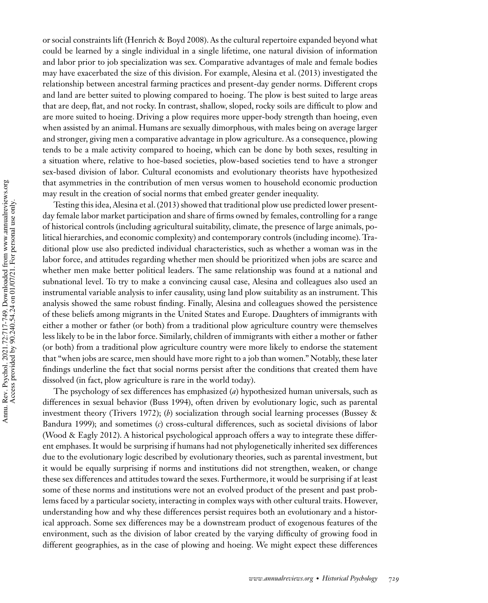or social constraints lift (Henrich & Boyd 2008). As the cultural repertoire expanded beyond what could be learned by a single individual in a single lifetime, one natural division of information and labor prior to job specialization was sex. Comparative advantages of male and female bodies may have exacerbated the size of this division. For example, Alesina et al. (2013) investigated the relationship between ancestral farming practices and present-day gender norms. Different crops and land are better suited to plowing compared to hoeing. The plow is best suited to large areas that are deep, flat, and not rocky. In contrast, shallow, sloped, rocky soils are difficult to plow and are more suited to hoeing. Driving a plow requires more upper-body strength than hoeing, even when assisted by an animal. Humans are sexually dimorphous, with males being on average larger and stronger, giving men a comparative advantage in plow agriculture. As a consequence, plowing tends to be a male activity compared to hoeing, which can be done by both sexes, resulting in a situation where, relative to hoe-based societies, plow-based societies tend to have a stronger sex-based division of labor. Cultural economists and evolutionary theorists have hypothesized that asymmetries in the contribution of men versus women to household economic production may result in the creation of social norms that embed greater gender inequality.

Testing this idea, Alesina et al. (2013) showed that traditional plow use predicted lower presentday female labor market participation and share of firms owned by females, controlling for a range of historical controls (including agricultural suitability, climate, the presence of large animals, political hierarchies, and economic complexity) and contemporary controls (including income). Traditional plow use also predicted individual characteristics, such as whether a woman was in the labor force, and attitudes regarding whether men should be prioritized when jobs are scarce and whether men make better political leaders. The same relationship was found at a national and subnational level. To try to make a convincing causal case, Alesina and colleagues also used an instrumental variable analysis to infer causality, using land plow suitability as an instrument. This analysis showed the same robust finding. Finally, Alesina and colleagues showed the persistence of these beliefs among migrants in the United States and Europe. Daughters of immigrants with either a mother or father (or both) from a traditional plow agriculture country were themselves less likely to be in the labor force. Similarly, children of immigrants with either a mother or father (or both) from a traditional plow agriculture country were more likely to endorse the statement that "when jobs are scarce, men should have more right to a job than women." Notably, these later findings underline the fact that social norms persist after the conditions that created them have dissolved (in fact, plow agriculture is rare in the world today).

The psychology of sex differences has emphasized (*a*) hypothesized human universals, such as differences in sexual behavior (Buss 1994), often driven by evolutionary logic, such as parental investment theory (Trivers 1972); (*b*) socialization through social learning processes (Bussey & Bandura 1999); and sometimes (*c*) cross-cultural differences, such as societal divisions of labor (Wood & Eagly 2012). A historical psychological approach offers a way to integrate these different emphases. It would be surprising if humans had not phylogenetically inherited sex differences due to the evolutionary logic described by evolutionary theories, such as parental investment, but it would be equally surprising if norms and institutions did not strengthen, weaken, or change these sex differences and attitudes toward the sexes. Furthermore, it would be surprising if at least some of these norms and institutions were not an evolved product of the present and past problems faced by a particular society, interacting in complex ways with other cultural traits. However, understanding how and why these differences persist requires both an evolutionary and a historical approach. Some sex differences may be a downstream product of exogenous features of the environment, such as the division of labor created by the varying difficulty of growing food in different geographies, as in the case of plowing and hoeing. We might expect these differences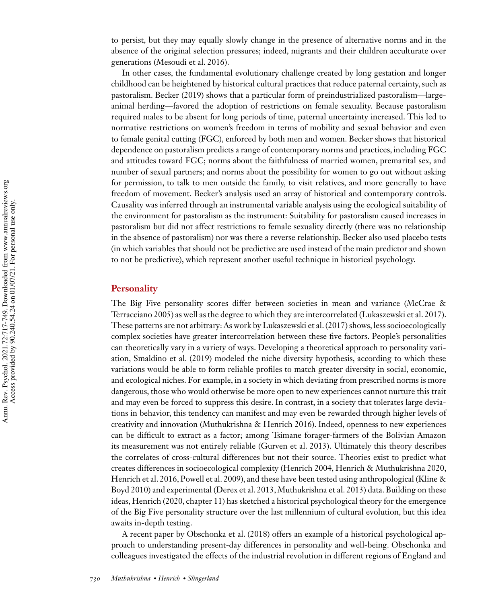to persist, but they may equally slowly change in the presence of alternative norms and in the absence of the original selection pressures; indeed, migrants and their children acculturate over generations (Mesoudi et al. 2016).

In other cases, the fundamental evolutionary challenge created by long gestation and longer childhood can be heightened by historical cultural practices that reduce paternal certainty, such as pastoralism. Becker (2019) shows that a particular form of preindustrialized pastoralism—largeanimal herding—favored the adoption of restrictions on female sexuality. Because pastoralism required males to be absent for long periods of time, paternal uncertainty increased. This led to normative restrictions on women's freedom in terms of mobility and sexual behavior and even to female genital cutting (FGC), enforced by both men and women. Becker shows that historical dependence on pastoralism predicts a range of contemporary norms and practices, including FGC and attitudes toward FGC; norms about the faithfulness of married women, premarital sex, and number of sexual partners; and norms about the possibility for women to go out without asking for permission, to talk to men outside the family, to visit relatives, and more generally to have freedom of movement. Becker's analysis used an array of historical and contemporary controls. Causality was inferred through an instrumental variable analysis using the ecological suitability of the environment for pastoralism as the instrument: Suitability for pastoralism caused increases in pastoralism but did not affect restrictions to female sexuality directly (there was no relationship in the absence of pastoralism) nor was there a reverse relationship. Becker also used placebo tests (in which variables that should not be predictive are used instead of the main predictor and shown to not be predictive), which represent another useful technique in historical psychology.

#### **Personality**

The Big Five personality scores differ between societies in mean and variance (McCrae & Terracciano 2005) as well as the degree to which they are intercorrelated (Lukaszewski et al. 2017). These patterns are not arbitrary: As work by Lukaszewski et al. (2017) shows, less socioecologically complex societies have greater intercorrelation between these five factors. People's personalities can theoretically vary in a variety of ways. Developing a theoretical approach to personality variation, Smaldino et al. (2019) modeled the niche diversity hypothesis, according to which these variations would be able to form reliable profiles to match greater diversity in social, economic, and ecological niches. For example, in a society in which deviating from prescribed norms is more dangerous, those who would otherwise be more open to new experiences cannot nurture this trait and may even be forced to suppress this desire. In contrast, in a society that tolerates large deviations in behavior, this tendency can manifest and may even be rewarded through higher levels of creativity and innovation (Muthukrishna & Henrich 2016). Indeed, openness to new experiences can be difficult to extract as a factor; among Tsimane forager-farmers of the Bolivian Amazon its measurement was not entirely reliable (Gurven et al. 2013). Ultimately this theory describes the correlates of cross-cultural differences but not their source. Theories exist to predict what creates differences in socioecological complexity (Henrich 2004, Henrich & Muthukrishna 2020, Henrich et al. 2016, Powell et al. 2009), and these have been tested using anthropological (Kline & Boyd 2010) and experimental (Derex et al. 2013, Muthukrishna et al. 2013) data. Building on these ideas, Henrich (2020, chapter 11) has sketched a historical psychological theory for the emergence of the Big Five personality structure over the last millennium of cultural evolution, but this idea awaits in-depth testing.

A recent paper by Obschonka et al. (2018) offers an example of a historical psychological approach to understanding present-day differences in personality and well-being. Obschonka and colleagues investigated the effects of the industrial revolution in different regions of England and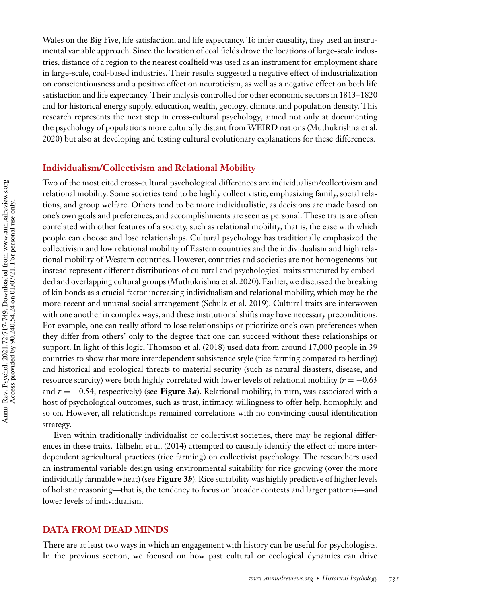Wales on the Big Five, life satisfaction, and life expectancy. To infer causality, they used an instrumental variable approach. Since the location of coal fields drove the locations of large-scale industries, distance of a region to the nearest coalfield was used as an instrument for employment share in large-scale, coal-based industries. Their results suggested a negative effect of industrialization on conscientiousness and a positive effect on neuroticism, as well as a negative effect on both life satisfaction and life expectancy. Their analysis controlled for other economic sectors in 1813–1820 and for historical energy supply, education, wealth, geology, climate, and population density. This research represents the next step in cross-cultural psychology, aimed not only at documenting the psychology of populations more culturally distant from WEIRD nations (Muthukrishna et al. 2020) but also at developing and testing cultural evolutionary explanations for these differences.

# **Individualism/Collectivism and Relational Mobility**

Two of the most cited cross-cultural psychological differences are individualism/collectivism and relational mobility. Some societies tend to be highly collectivistic, emphasizing family, social relations, and group welfare. Others tend to be more individualistic, as decisions are made based on one's own goals and preferences, and accomplishments are seen as personal. These traits are often correlated with other features of a society, such as relational mobility, that is, the ease with which people can choose and lose relationships. Cultural psychology has traditionally emphasized the collectivism and low relational mobility of Eastern countries and the individualism and high relational mobility of Western countries. However, countries and societies are not homogeneous but instead represent different distributions of cultural and psychological traits structured by embedded and overlapping cultural groups (Muthukrishna et al. 2020). Earlier, we discussed the breaking of kin bonds as a crucial factor increasing individualism and relational mobility, which may be the more recent and unusual social arrangement (Schulz et al. 2019). Cultural traits are interwoven with one another in complex ways, and these institutional shifts may have necessary preconditions. For example, one can really afford to lose relationships or prioritize one's own preferences when they differ from others' only to the degree that one can succeed without these relationships or support. In light of this logic, Thomson et al. (2018) used data from around 17,000 people in 39 countries to show that more interdependent subsistence style (rice farming compared to herding) and historical and ecological threats to material security (such as natural disasters, disease, and resource scarcity) were both highly correlated with lower levels of relational mobility (*r* = −0.63 and  $r = -0.54$ , respectively) (see **Figure 3***a*). Relational mobility, in turn, was associated with a host of psychological outcomes, such as trust, intimacy, willingness to offer help, homophily, and so on. However, all relationships remained correlations with no convincing causal identification strategy.

Even within traditionally individualist or collectivist societies, there may be regional differences in these traits. Talhelm et al. (2014) attempted to causally identify the effect of more interdependent agricultural practices (rice farming) on collectivist psychology. The researchers used an instrumental variable design using environmental suitability for rice growing (over the more individually farmable wheat) (see **Figure 3***b*). Rice suitability was highly predictive of higher levels of holistic reasoning—that is, the tendency to focus on broader contexts and larger patterns—and lower levels of individualism.

#### **DATA FROM DEAD MINDS**

There are at least two ways in which an engagement with history can be useful for psychologists. In the previous section, we focused on how past cultural or ecological dynamics can drive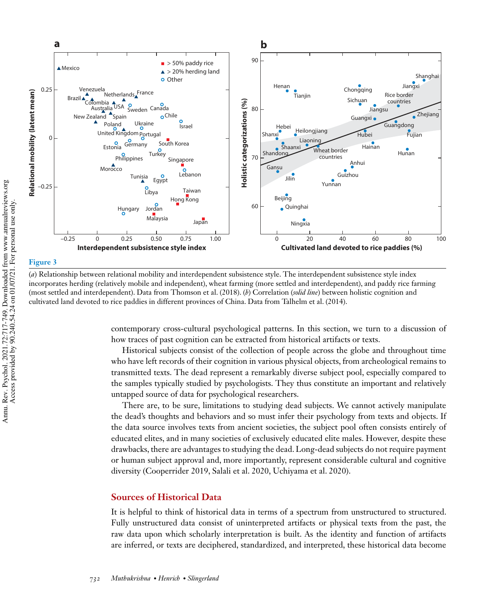



(*a*) Relationship between relational mobility and interdependent subsistence style. The interdependent subsistence style index incorporates herding (relatively mobile and independent), wheat farming (more settled and interdependent), and paddy rice farming (most settled and interdependent). Data from Thomson et al. (2018). (*b*) Correlation (*solid line*) between holistic cognition and cultivated land devoted to rice paddies in different provinces of China. Data from Talhelm et al. (2014).

contemporary cross-cultural psychological patterns. In this section, we turn to a discussion of how traces of past cognition can be extracted from historical artifacts or texts.

Historical subjects consist of the collection of people across the globe and throughout time who have left records of their cognition in various physical objects, from archeological remains to transmitted texts. The dead represent a remarkably diverse subject pool, especially compared to the samples typically studied by psychologists. They thus constitute an important and relatively untapped source of data for psychological researchers.

There are, to be sure, limitations to studying dead subjects. We cannot actively manipulate the dead's thoughts and behaviors and so must infer their psychology from texts and objects. If the data source involves texts from ancient societies, the subject pool often consists entirely of educated elites, and in many societies of exclusively educated elite males. However, despite these drawbacks, there are advantages to studying the dead. Long-dead subjects do not require payment or human subject approval and, more importantly, represent considerable cultural and cognitive diversity (Cooperrider 2019, Salali et al. 2020, Uchiyama et al. 2020).

# **Sources of Historical Data**

It is helpful to think of historical data in terms of a spectrum from unstructured to structured. Fully unstructured data consist of uninterpreted artifacts or physical texts from the past, the raw data upon which scholarly interpretation is built. As the identity and function of artifacts are inferred, or texts are deciphered, standardized, and interpreted, these historical data become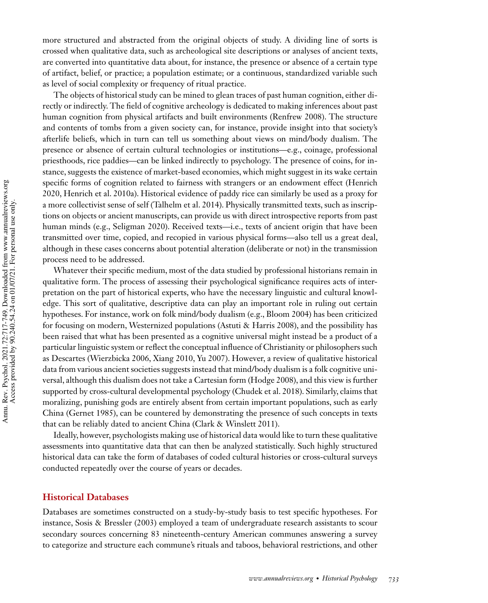more structured and abstracted from the original objects of study. A dividing line of sorts is crossed when qualitative data, such as archeological site descriptions or analyses of ancient texts, are converted into quantitative data about, for instance, the presence or absence of a certain type of artifact, belief, or practice; a population estimate; or a continuous, standardized variable such as level of social complexity or frequency of ritual practice.

The objects of historical study can be mined to glean traces of past human cognition, either directly or indirectly. The field of cognitive archeology is dedicated to making inferences about past human cognition from physical artifacts and built environments (Renfrew 2008). The structure and contents of tombs from a given society can, for instance, provide insight into that society's afterlife beliefs, which in turn can tell us something about views on mind/body dualism. The presence or absence of certain cultural technologies or institutions—e.g., coinage, professional priesthoods, rice paddies—can be linked indirectly to psychology. The presence of coins, for instance, suggests the existence of market-based economies, which might suggest in its wake certain specific forms of cognition related to fairness with strangers or an endowment effect (Henrich 2020, Henrich et al. 2010a). Historical evidence of paddy rice can similarly be used as a proxy for a more collectivist sense of self (Talhelm et al. 2014). Physically transmitted texts, such as inscriptions on objects or ancient manuscripts, can provide us with direct introspective reports from past human minds (e.g., Seligman 2020). Received texts—i.e., texts of ancient origin that have been transmitted over time, copied, and recopied in various physical forms—also tell us a great deal, although in these cases concerns about potential alteration (deliberate or not) in the transmission process need to be addressed.

Whatever their specific medium, most of the data studied by professional historians remain in qualitative form. The process of assessing their psychological significance requires acts of interpretation on the part of historical experts, who have the necessary linguistic and cultural knowledge. This sort of qualitative, descriptive data can play an important role in ruling out certain hypotheses. For instance, work on folk mind/body dualism (e.g., Bloom 2004) has been criticized for focusing on modern, Westernized populations (Astuti & Harris 2008), and the possibility has been raised that what has been presented as a cognitive universal might instead be a product of a particular linguistic system or reflect the conceptual influence of Christianity or philosophers such as Descartes (Wierzbicka 2006, Xiang 2010, Yu 2007). However, a review of qualitative historical data from various ancient societies suggests instead that mind/body dualism is a folk cognitive universal, although this dualism does not take a Cartesian form (Hodge 2008), and this view is further supported by cross-cultural developmental psychology (Chudek et al. 2018). Similarly, claims that moralizing, punishing gods are entirely absent from certain important populations, such as early China (Gernet 1985), can be countered by demonstrating the presence of such concepts in texts that can be reliably dated to ancient China (Clark & Winslett 2011).

Ideally, however, psychologists making use of historical data would like to turn these qualitative assessments into quantitative data that can then be analyzed statistically. Such highly structured historical data can take the form of databases of coded cultural histories or cross-cultural surveys conducted repeatedly over the course of years or decades.

## **Historical Databases**

Databases are sometimes constructed on a study-by-study basis to test specific hypotheses. For instance, Sosis & Bressler (2003) employed a team of undergraduate research assistants to scour secondary sources concerning 83 nineteenth-century American communes answering a survey to categorize and structure each commune's rituals and taboos, behavioral restrictions, and other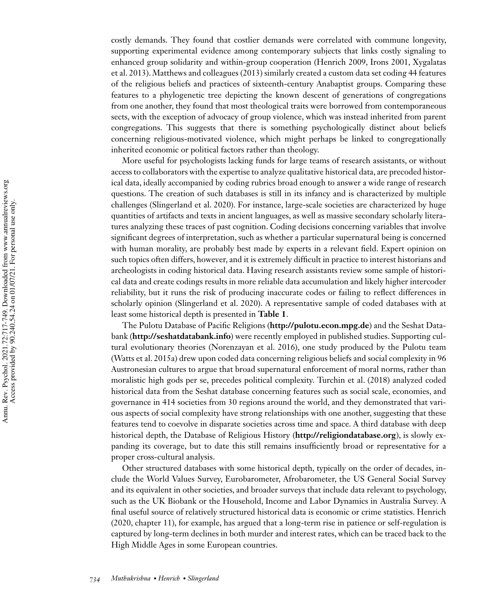costly demands. They found that costlier demands were correlated with commune longevity, supporting experimental evidence among contemporary subjects that links costly signaling to enhanced group solidarity and within-group cooperation (Henrich 2009, Irons 2001, Xygalatas et al. 2013). Matthews and colleagues (2013) similarly created a custom data set coding 44 features of the religious beliefs and practices of sixteenth-century Anabaptist groups. Comparing these features to a phylogenetic tree depicting the known descent of generations of congregations from one another, they found that most theological traits were borrowed from contemporaneous sects, with the exception of advocacy of group violence, which was instead inherited from parent congregations. This suggests that there is something psychologically distinct about beliefs concerning religious-motivated violence, which might perhaps be linked to congregationally inherited economic or political factors rather than theology.

More useful for psychologists lacking funds for large teams of research assistants, or without access to collaborators with the expertise to analyze qualitative historical data, are precoded historical data, ideally accompanied by coding rubrics broad enough to answer a wide range of research questions. The creation of such databases is still in its infancy and is characterized by multiple challenges (Slingerland et al. 2020). For instance, large-scale societies are characterized by huge quantities of artifacts and texts in ancient languages, as well as massive secondary scholarly literatures analyzing these traces of past cognition. Coding decisions concerning variables that involve significant degrees of interpretation, such as whether a particular supernatural being is concerned with human morality, are probably best made by experts in a relevant field. Expert opinion on such topics often differs, however, and it is extremely difficult in practice to interest historians and archeologists in coding historical data. Having research assistants review some sample of historical data and create codings results in more reliable data accumulation and likely higher intercoder reliability, but it runs the risk of producing inaccurate codes or failing to reflect differences in scholarly opinion (Slingerland et al. 2020). A representative sample of coded databases with at least some historical depth is presented in **Table 1**.

The Pulotu Database of Pacific Religions (**http://pulotu.econ.mpg.de**) and the Seshat Databank (**http://seshatdatabank.info**) were recently employed in published studies. Supporting cultural evolutionary theories (Norenzayan et al. 2016), one study produced by the Pulotu team (Watts et al. 2015a) drew upon coded data concerning religious beliefs and social complexity in 96 Austronesian cultures to argue that broad supernatural enforcement of moral norms, rather than moralistic high gods per se, precedes political complexity. Turchin et al. (2018) analyzed coded historical data from the Seshat database concerning features such as social scale, economies, and governance in 414 societies from 30 regions around the world, and they demonstrated that various aspects of social complexity have strong relationships with one another, suggesting that these features tend to coevolve in disparate societies across time and space. A third database with deep historical depth, the Database of Religious History (**http://religiondatabase.org**), is slowly expanding its coverage, but to date this still remains insufficiently broad or representative for a proper cross-cultural analysis.

Other structured databases with some historical depth, typically on the order of decades, include the World Values Survey, Eurobarometer, Afrobarometer, the US General Social Survey and its equivalent in other societies, and broader surveys that include data relevant to psychology, such as the UK Biobank or the Household, Income and Labor Dynamics in Australia Survey. A final useful source of relatively structured historical data is economic or crime statistics. Henrich (2020, chapter 11), for example, has argued that a long-term rise in patience or self-regulation is captured by long-term declines in both murder and interest rates, which can be traced back to the High Middle Ages in some European countries.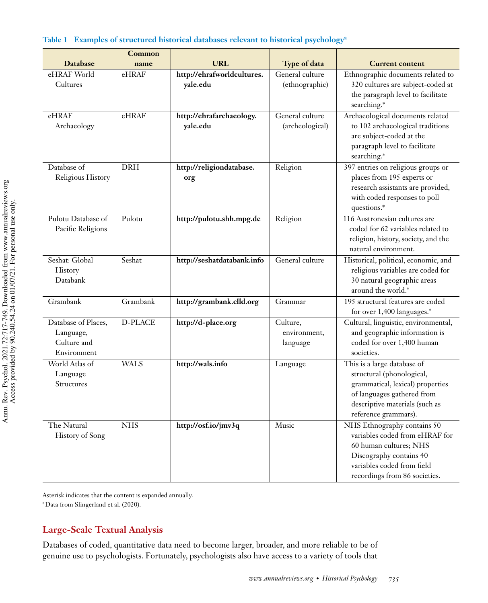|                                                                | Common     |                                        |                                      |                                                                                                                                                                                      |
|----------------------------------------------------------------|------------|----------------------------------------|--------------------------------------|--------------------------------------------------------------------------------------------------------------------------------------------------------------------------------------|
| <b>Database</b>                                                | name       | <b>URL</b>                             | Type of data                         | <b>Current content</b>                                                                                                                                                               |
| eHRAF World<br>Cultures                                        | eHRAF      | http://ehrafworldcultures.<br>yale.edu | General culture<br>(ethnographic)    | Ethnographic documents related to<br>320 cultures are subject-coded at<br>the paragraph level to facilitate<br>searching.*                                                           |
| eHRAF<br>Archaeology                                           | eHRAF      | http://ehrafarchaeology.<br>yale.edu   | General culture<br>(archeological)   | Archaeological documents related<br>to 102 archaeological traditions<br>are subject-coded at the<br>paragraph level to facilitate<br>searching.*                                     |
| Database of<br>Religious History                               | <b>DRH</b> | http://religiondatabase.<br>org        | Religion                             | 397 entries on religious groups or<br>places from 195 experts or<br>research assistants are provided,<br>with coded responses to poll<br>questions.*                                 |
| Pulotu Database of<br>Pacific Religions                        | Pulotu     | http://pulotu.shh.mpg.de               | Religion                             | 116 Austronesian cultures are<br>coded for 62 variables related to<br>religion, history, society, and the<br>natural environment.                                                    |
| Seshat: Global<br>History<br>Databank                          | Seshat     | http://seshatdatabank.info             | General culture                      | Historical, political, economic, and<br>religious variables are coded for<br>30 natural geographic areas<br>around the world.*                                                       |
| Grambank                                                       | Grambank   | http://grambank.clld.org               | Grammar                              | 195 structural features are coded<br>for over 1,400 languages.*                                                                                                                      |
| Database of Places,<br>Language,<br>Culture and<br>Environment | D-PLACE    | http://d-place.org                     | Culture,<br>environment,<br>language | Cultural, linguistic, environmental,<br>and geographic information is<br>coded for over 1,400 human<br>societies.                                                                    |
| World Atlas of<br>Language<br>Structures                       | WALS       | http://wals.info                       | Language                             | This is a large database of<br>structural (phonological,<br>grammatical, lexical) properties<br>of languages gathered from<br>descriptive materials (such as<br>reference grammars). |
| The Natural<br><b>History of Song</b>                          | <b>NHS</b> | http://osf.io/jmv3q                    | Music                                | NHS Ethnography contains 50<br>variables coded from eHRAF for<br>60 human cultures; NHS<br>Discography contains 40<br>variables coded from field<br>recordings from 86 societies.    |

# **Table 1 Examples of structured historical databases relevant to historical psychology<sup>a</sup>**

Asterisk indicates that the content is expanded annually.

<sup>a</sup>Data from Slingerland et al. (2020).

# **Large-Scale Textual Analysis**

Databases of coded, quantitative data need to become larger, broader, and more reliable to be of genuine use to psychologists. Fortunately, psychologists also have access to a variety of tools that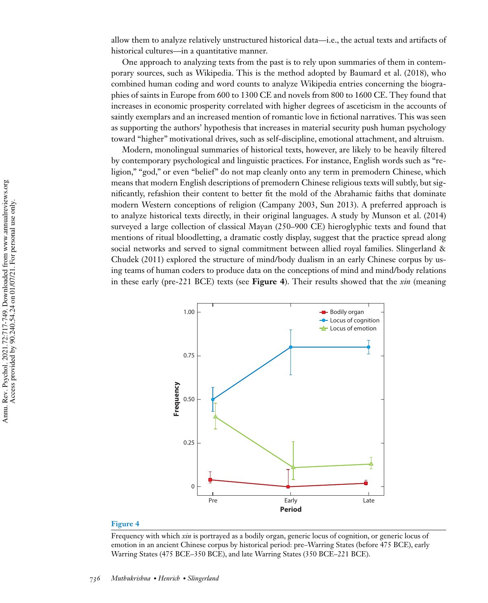allow them to analyze relatively unstructured historical data—i.e., the actual texts and artifacts of historical cultures—in a quantitative manner.

One approach to analyzing texts from the past is to rely upon summaries of them in contemporary sources, such as Wikipedia. This is the method adopted by Baumard et al. (2018), who combined human coding and word counts to analyze Wikipedia entries concerning the biographies of saints in Europe from 600 to 1300 CE and novels from 800 to 1600 CE. They found that increases in economic prosperity correlated with higher degrees of asceticism in the accounts of saintly exemplars and an increased mention of romantic love in fictional narratives. This was seen as supporting the authors' hypothesis that increases in material security push human psychology toward "higher" motivational drives, such as self-discipline, emotional attachment, and altruism.

Modern, monolingual summaries of historical texts, however, are likely to be heavily filtered by contemporary psychological and linguistic practices. For instance, English words such as "religion," "god," or even "belief" do not map cleanly onto any term in premodern Chinese, which means that modern English descriptions of premodern Chinese religious texts will subtly, but significantly, refashion their content to better fit the mold of the Abrahamic faiths that dominate modern Western conceptions of religion (Campany 2003, Sun 2013). A preferred approach is to analyze historical texts directly, in their original languages. A study by Munson et al. (2014) surveyed a large collection of classical Mayan (250–900 CE) hieroglyphic texts and found that mentions of ritual bloodletting, a dramatic costly display, suggest that the practice spread along social networks and served to signal commitment between allied royal families. Slingerland & Chudek (2011) explored the structure of mind/body dualism in an early Chinese corpus by using teams of human coders to produce data on the conceptions of mind and mind/body relations in these early (pre-221 BCE) texts (see **Figure 4**). Their results showed that the *xin* (meaning



#### **Figure 4**

Frequency with which *xin* is portrayed as a bodily organ, generic locus of cognition, or generic locus of emotion in an ancient Chinese corpus by historical period: pre–Warring States (before 475 BCE), early Warring States (475 BCE–350 BCE), and late Warring States (350 BCE–221 BCE).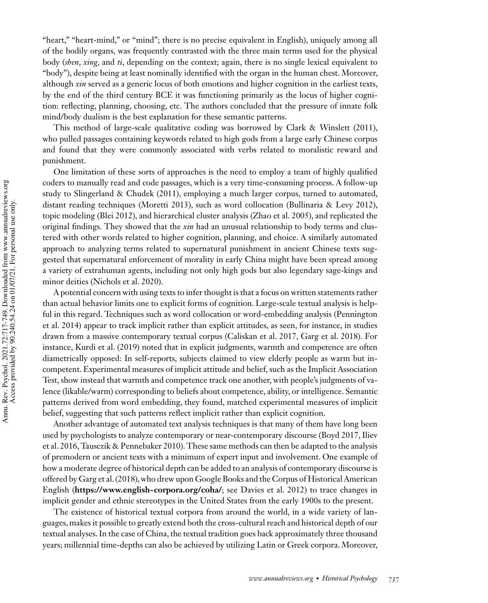"heart," "heart-mind," or "mind"; there is no precise equivalent in English), uniquely among all of the bodily organs, was frequently contrasted with the three main terms used for the physical body (*shen*, *xing*, and *ti*, depending on the context; again, there is no single lexical equivalent to "body"), despite being at least nominally identified with the organ in the human chest. Moreover, although *xin* served as a generic locus of both emotions and higher cognition in the earliest texts, by the end of the third century BCE it was functioning primarily as the locus of higher cognition: reflecting, planning, choosing, etc. The authors concluded that the pressure of innate folk mind/body dualism is the best explanation for these semantic patterns.

This method of large-scale qualitative coding was borrowed by Clark & Winslett (2011), who pulled passages containing keywords related to high gods from a large early Chinese corpus and found that they were commonly associated with verbs related to moralistic reward and punishment.

One limitation of these sorts of approaches is the need to employ a team of highly qualified coders to manually read and code passages, which is a very time-consuming process. A follow-up study to Slingerland & Chudek (2011), employing a much larger corpus, turned to automated, distant reading techniques (Moretti 2013), such as word collocation (Bullinaria & Levy 2012), topic modeling (Blei 2012), and hierarchical cluster analysis (Zhao et al. 2005), and replicated the original findings. They showed that the *xin* had an unusual relationship to body terms and clustered with other words related to higher cognition, planning, and choice. A similarly automated approach to analyzing terms related to supernatural punishment in ancient Chinese texts suggested that supernatural enforcement of morality in early China might have been spread among a variety of extrahuman agents, including not only high gods but also legendary sage-kings and minor deities (Nichols et al. 2020).

A potential concern with using texts to infer thought is that a focus on written statements rather than actual behavior limits one to explicit forms of cognition. Large-scale textual analysis is helpful in this regard. Techniques such as word collocation or word-embedding analysis (Pennington et al. 2014) appear to track implicit rather than explicit attitudes, as seen, for instance, in studies drawn from a massive contemporary textual corpus (Caliskan et al. 2017, Garg et al. 2018). For instance, Kurdi et al. (2019) noted that in explicit judgments, warmth and competence are often diametrically opposed: In self-reports, subjects claimed to view elderly people as warm but incompetent. Experimental measures of implicit attitude and belief, such as the Implicit Association Test, show instead that warmth and competence track one another, with people's judgments of valence (likable/warm) corresponding to beliefs about competence, ability, or intelligence. Semantic patterns derived from word embedding, they found, matched experimental measures of implicit belief, suggesting that such patterns reflect implicit rather than explicit cognition.

Another advantage of automated text analysis techniques is that many of them have long been used by psychologists to analyze contemporary or near-contemporary discourse (Boyd 2017, Iliev et al. 2016, Tausczik & Pennebaker 2010). These same methods can then be adapted to the analysis of premodern or ancient texts with a minimum of expert input and involvement. One example of how a moderate degree of historical depth can be added to an analysis of contemporary discourse is offered by Garg et al. (2018), who drew upon Google Books and the Corpus of Historical American English (**https://www.english-corpora.org/coha/**; see Davies et al. 2012) to trace changes in implicit gender and ethnic stereotypes in the United States from the early 1900s to the present.

The existence of historical textual corpora from around the world, in a wide variety of languages, makes it possible to greatly extend both the cross-cultural reach and historical depth of our textual analyses. In the case of China, the textual tradition goes back approximately three thousand years; millennial time-depths can also be achieved by utilizing Latin or Greek corpora. Moreover,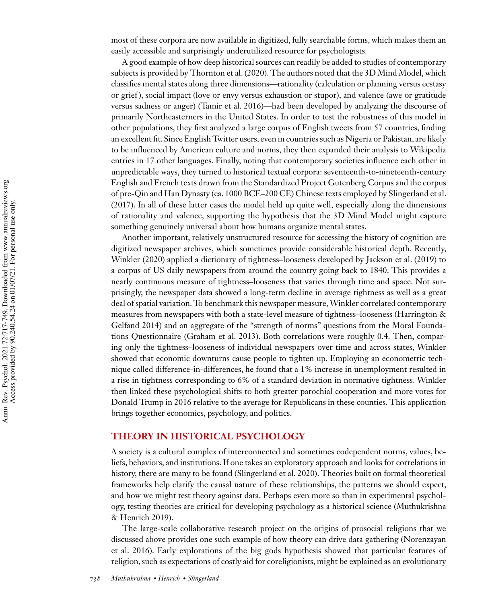most of these corpora are now available in digitized, fully searchable forms, which makes them an easily accessible and surprisingly underutilized resource for psychologists.

A good example of how deep historical sources can readily be added to studies of contemporary subjects is provided by Thornton et al. (2020). The authors noted that the 3D Mind Model, which classifies mental states along three dimensions—rationality (calculation or planning versus ecstasy or grief ), social impact (love or envy versus exhaustion or stupor), and valence (awe or gratitude versus sadness or anger) (Tamir et al. 2016)—had been developed by analyzing the discourse of primarily Northeasterners in the United States. In order to test the robustness of this model in other populations, they first analyzed a large corpus of English tweets from 57 countries, finding an excellent fit. Since English Twitter users, even in countries such as Nigeria or Pakistan, are likely to be influenced by American culture and norms, they then expanded their analysis to Wikipedia entries in 17 other languages. Finally, noting that contemporary societies influence each other in unpredictable ways, they turned to historical textual corpora: seventeenth-to-nineteenth-century English and French texts drawn from the Standardized Project Gutenberg Corpus and the corpus of pre-Qin and Han Dynasty (ca. 1000 BCE–200 CE) Chinese texts employed by Slingerland et al. (2017). In all of these latter cases the model held up quite well, especially along the dimensions of rationality and valence, supporting the hypothesis that the 3D Mind Model might capture something genuinely universal about how humans organize mental states.

Another important, relatively unstructured resource for accessing the history of cognition are digitized newspaper archives, which sometimes provide considerable historical depth. Recently, Winkler (2020) applied a dictionary of tightness–looseness developed by Jackson et al. (2019) to a corpus of US daily newspapers from around the country going back to 1840. This provides a nearly continuous measure of tightness–looseness that varies through time and space. Not surprisingly, the newspaper data showed a long-term decline in average tightness as well as a great deal of spatial variation. To benchmark this newspaper measure,Winkler correlated contemporary measures from newspapers with both a state-level measure of tightness–looseness (Harrington & Gelfand 2014) and an aggregate of the "strength of norms" questions from the Moral Foundations Questionnaire (Graham et al. 2013). Both correlations were roughly 0.4. Then, comparing only the tightness–looseness of individual newspapers over time and across states, Winkler showed that economic downturns cause people to tighten up. Employing an econometric technique called difference-in-differences, he found that a 1% increase in unemployment resulted in a rise in tightness corresponding to 6% of a standard deviation in normative tightness. Winkler then linked these psychological shifts to both greater parochial cooperation and more votes for Donald Trump in 2016 relative to the average for Republicans in these counties. This application brings together economics, psychology, and politics.

## **THEORY IN HISTORICAL PSYCHOLOGY**

A society is a cultural complex of interconnected and sometimes codependent norms, values, beliefs, behaviors, and institutions. If one takes an exploratory approach and looks for correlations in history, there are many to be found (Slingerland et al. 2020). Theories built on formal theoretical frameworks help clarify the causal nature of these relationships, the patterns we should expect, and how we might test theory against data. Perhaps even more so than in experimental psychology, testing theories are critical for developing psychology as a historical science (Muthukrishna & Henrich 2019).

The large-scale collaborative research project on the origins of prosocial religions that we discussed above provides one such example of how theory can drive data gathering (Norenzayan et al. 2016). Early explorations of the big gods hypothesis showed that particular features of religion, such as expectations of costly aid for coreligionists, might be explained as an evolutionary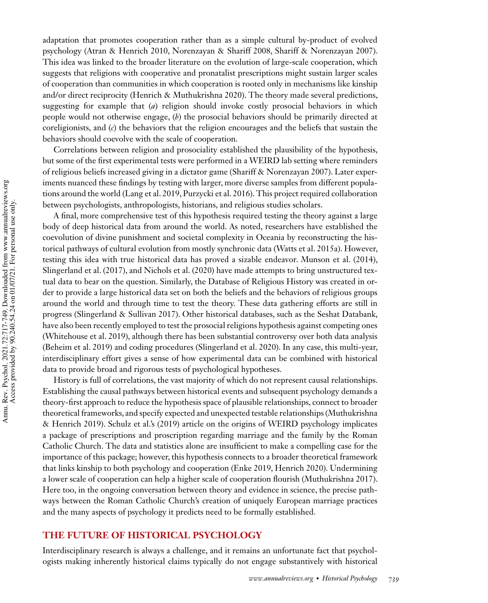adaptation that promotes cooperation rather than as a simple cultural by-product of evolved psychology (Atran & Henrich 2010, Norenzayan & Shariff 2008, Shariff & Norenzayan 2007). This idea was linked to the broader literature on the evolution of large-scale cooperation, which suggests that religions with cooperative and pronatalist prescriptions might sustain larger scales of cooperation than communities in which cooperation is rooted only in mechanisms like kinship and/or direct reciprocity (Henrich & Muthukrishna 2020). The theory made several predictions, suggesting for example that (*a*) religion should invoke costly prosocial behaviors in which people would not otherwise engage, (*b*) the prosocial behaviors should be primarily directed at coreligionists, and (*c*) the behaviors that the religion encourages and the beliefs that sustain the behaviors should coevolve with the scale of cooperation.

Correlations between religion and prosociality established the plausibility of the hypothesis, but some of the first experimental tests were performed in a WEIRD lab setting where reminders of religious beliefs increased giving in a dictator game (Shariff & Norenzayan 2007). Later experiments nuanced these findings by testing with larger, more diverse samples from different populations around the world (Lang et al. 2019, Purzycki et al. 2016). This project required collaboration between psychologists, anthropologists, historians, and religious studies scholars.

A final, more comprehensive test of this hypothesis required testing the theory against a large body of deep historical data from around the world. As noted, researchers have established the coevolution of divine punishment and societal complexity in Oceania by reconstructing the historical pathways of cultural evolution from mostly synchronic data (Watts et al. 2015a). However, testing this idea with true historical data has proved a sizable endeavor. Munson et al. (2014), Slingerland et al. (2017), and Nichols et al. (2020) have made attempts to bring unstructured textual data to bear on the question. Similarly, the Database of Religious History was created in order to provide a large historical data set on both the beliefs and the behaviors of religious groups around the world and through time to test the theory. These data gathering efforts are still in progress (Slingerland & Sullivan 2017). Other historical databases, such as the Seshat Databank, have also been recently employed to test the prosocial religions hypothesis against competing ones (Whitehouse et al. 2019), although there has been substantial controversy over both data analysis (Beheim et al. 2019) and coding procedures (Slingerland et al. 2020). In any case, this multi-year, interdisciplinary effort gives a sense of how experimental data can be combined with historical data to provide broad and rigorous tests of psychological hypotheses.

History is full of correlations, the vast majority of which do not represent causal relationships. Establishing the causal pathways between historical events and subsequent psychology demands a theory-first approach to reduce the hypothesis space of plausible relationships, connect to broader theoretical frameworks, and specify expected and unexpected testable relationships (Muthukrishna & Henrich 2019). Schulz et al.'s (2019) article on the origins of WEIRD psychology implicates a package of prescriptions and proscription regarding marriage and the family by the Roman Catholic Church. The data and statistics alone are insufficient to make a compelling case for the importance of this package; however, this hypothesis connects to a broader theoretical framework that links kinship to both psychology and cooperation (Enke 2019, Henrich 2020). Undermining a lower scale of cooperation can help a higher scale of cooperation flourish (Muthukrishna 2017). Here too, in the ongoing conversation between theory and evidence in science, the precise pathways between the Roman Catholic Church's creation of uniquely European marriage practices and the many aspects of psychology it predicts need to be formally established.

# **THE FUTURE OF HISTORICAL PSYCHOLOGY**

Interdisciplinary research is always a challenge, and it remains an unfortunate fact that psychologists making inherently historical claims typically do not engage substantively with historical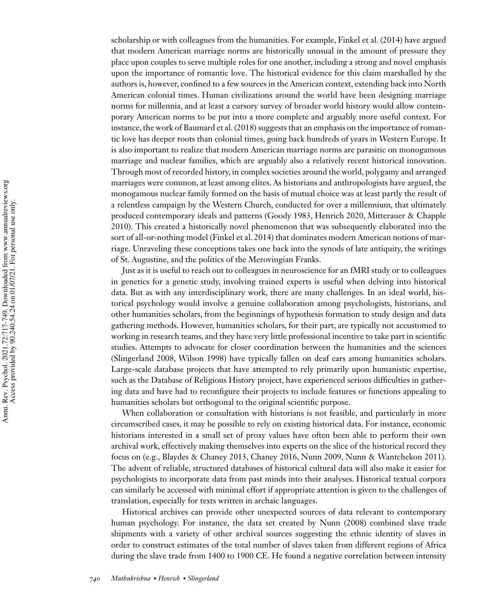scholarship or with colleagues from the humanities. For example, Finkel et al. (2014) have argued that modern American marriage norms are historically unusual in the amount of pressure they place upon couples to serve multiple roles for one another, including a strong and novel emphasis upon the importance of romantic love. The historical evidence for this claim marshalled by the authors is, however, confined to a few sources in the American context, extending back into North American colonial times. Human civilizations around the world have been designing marriage norms for millennia, and at least a cursory survey of broader world history would allow contemporary American norms to be put into a more complete and arguably more useful context. For instance, the work of Baumard et al. (2018) suggests that an emphasis on the importance of romantic love has deeper roots than colonial times, going back hundreds of years in Western Europe. It is also important to realize that modern American marriage norms are parasitic on monogamous marriage and nuclear families, which are arguably also a relatively recent historical innovation. Through most of recorded history, in complex societies around the world, polygamy and arranged marriages were common, at least among elites. As historians and anthropologists have argued, the monogamous nuclear family formed on the basis of mutual choice was at least partly the result of a relentless campaign by the Western Church, conducted for over a millennium, that ultimately produced contemporary ideals and patterns (Goody 1983, Henrich 2020, Mitterauer & Chapple 2010). This created a historically novel phenomenon that was subsequently elaborated into the sort of all-or-nothing model (Finkel et al. 2014) that dominates modern American notions of marriage. Unraveling these conceptions takes one back into the synods of late antiquity, the writings of St. Augustine, and the politics of the Merovingian Franks.

Just as it is useful to reach out to colleagues in neuroscience for an fMRI study or to colleagues in genetics for a genetic study, involving trained experts is useful when delving into historical data. But as with any interdisciplinary work, there are many challenges. In an ideal world, historical psychology would involve a genuine collaboration among psychologists, historians, and other humanities scholars, from the beginnings of hypothesis formation to study design and data gathering methods. However, humanities scholars, for their part, are typically not accustomed to working in research teams, and they have very little professional incentive to take part in scientific studies. Attempts to advocate for closer coordination between the humanities and the sciences (Slingerland 2008, Wilson 1998) have typically fallen on deaf ears among humanities scholars. Large-scale database projects that have attempted to rely primarily upon humanistic expertise, such as the Database of Religious History project, have experienced serious difficulties in gathering data and have had to reconfigure their projects to include features or functions appealing to humanities scholars but orthogonal to the original scientific purpose.

When collaboration or consultation with historians is not feasible, and particularly in more circumscribed cases, it may be possible to rely on existing historical data. For instance, economic historians interested in a small set of proxy values have often been able to perform their own archival work, effectively making themselves into experts on the slice of the historical record they focus on (e.g., Blaydes & Chaney 2013, Chaney 2016, Nunn 2009, Nunn & Wantchekon 2011). The advent of reliable, structured databases of historical cultural data will also make it easier for psychologists to incorporate data from past minds into their analyses. Historical textual corpora can similarly be accessed with minimal effort if appropriate attention is given to the challenges of translation, especially for texts written in archaic languages.

Historical archives can provide other unexpected sources of data relevant to contemporary human psychology. For instance, the data set created by Nunn (2008) combined slave trade shipments with a variety of other archival sources suggesting the ethnic identity of slaves in order to construct estimates of the total number of slaves taken from different regions of Africa during the slave trade from 1400 to 1900 CE. He found a negative correlation between intensity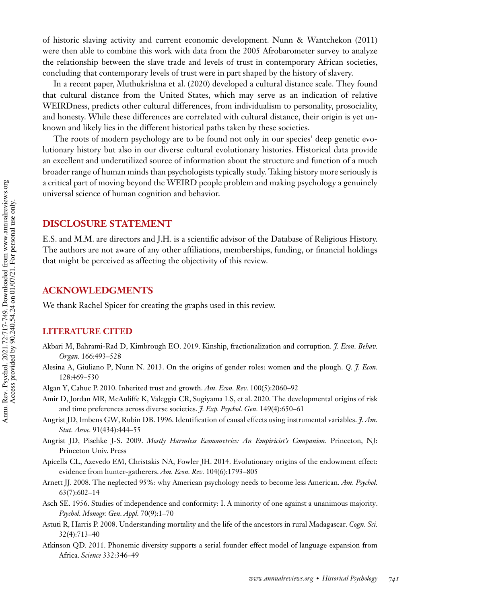of historic slaving activity and current economic development. Nunn & Wantchekon (2011) were then able to combine this work with data from the 2005 Afrobarometer survey to analyze the relationship between the slave trade and levels of trust in contemporary African societies, concluding that contemporary levels of trust were in part shaped by the history of slavery.

In a recent paper, Muthukrishna et al. (2020) developed a cultural distance scale. They found that cultural distance from the United States, which may serve as an indication of relative WEIRDness, predicts other cultural differences, from individualism to personality, prosociality, and honesty. While these differences are correlated with cultural distance, their origin is yet unknown and likely lies in the different historical paths taken by these societies.

The roots of modern psychology are to be found not only in our species' deep genetic evolutionary history but also in our diverse cultural evolutionary histories. Historical data provide an excellent and underutilized source of information about the structure and function of a much broader range of human minds than psychologists typically study. Taking history more seriously is a critical part of moving beyond the WEIRD people problem and making psychology a genuinely universal science of human cognition and behavior.

# **DISCLOSURE STATEMENT**

E.S. and M.M. are directors and J.H. is a scientific advisor of the Database of Religious History. The authors are not aware of any other affiliations, memberships, funding, or financial holdings that might be perceived as affecting the objectivity of this review.

## **ACKNOWLEDGMENTS**

We thank Rachel Spicer for creating the graphs used in this review.

# **LITERATURE CITED**

- Akbari M, Bahrami-Rad D, Kimbrough EO. 2019. Kinship, fractionalization and corruption. *J. Econ. Behav. Organ.* 166:493–528
- Alesina A, Giuliano P, Nunn N. 2013. On the origins of gender roles: women and the plough. *Q. J. Econ.* 128:469–530
- Algan Y, Cahuc P. 2010. Inherited trust and growth. *Am. Econ. Rev.* 100(5):2060–92
- Amir D, Jordan MR, McAuliffe K, Valeggia CR, Sugiyama LS, et al. 2020. The developmental origins of risk and time preferences across diverse societies. *J. Exp. Psychol. Gen.* 149(4):650–61
- Angrist JD, Imbens GW, Rubin DB. 1996. Identification of causal effects using instrumental variables. *J. Am. Stat. Assoc.* 91(434):444–55
- Angrist JD, Pischke J-S. 2009. *Mostly Harmless Econometrics: An Empiricist's Companion*. Princeton, NJ: Princeton Univ. Press
- Apicella CL, Azevedo EM, Christakis NA, Fowler JH. 2014. Evolutionary origins of the endowment effect: evidence from hunter-gatherers. *Am. Econ. Rev.* 104(6):1793–805
- Arnett JJ. 2008. The neglected 95%: why American psychology needs to become less American. *Am. Psychol.* 63(7):602–14
- Asch SE. 1956. Studies of independence and conformity: I. A minority of one against a unanimous majority. *Psychol. Monogr. Gen. Appl.* 70(9):1–70
- Astuti R, Harris P. 2008. Understanding mortality and the life of the ancestors in rural Madagascar. *Cogn. Sci.* 32(4):713–40
- Atkinson QD. 2011. Phonemic diversity supports a serial founder effect model of language expansion from Africa. *Science* 332:346–49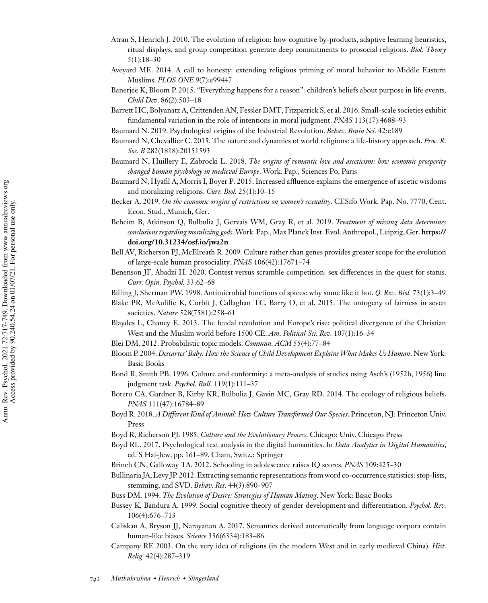- Atran S, Henrich J. 2010. The evolution of religion: how cognitive by-products, adaptive learning heuristics, ritual displays, and group competition generate deep commitments to prosocial religions. *Biol. Theory* 5(1):18–30
- Aveyard ME. 2014. A call to honesty: extending religious priming of moral behavior to Middle Eastern Muslims. *PLOS ONE* 9(7):e99447
- Banerjee K, Bloom P. 2015. "Everything happens for a reason": children's beliefs about purpose in life events. *Child Dev*. 86(2):503–18
- Barrett HC, Bolyanatz A, Crittenden AN, Fessler DMT, Fitzpatrick S, et al. 2016. Small-scale societies exhibit fundamental variation in the role of intentions in moral judgment. *PNAS* 113(17):4688–93
- Baumard N. 2019. Psychological origins of the Industrial Revolution. *Behav. Brain Sci.* 42:e189
- Baumard N, Chevallier C. 2015. The nature and dynamics of world religions: a life-history approach. *Proc. R. Soc. B* 282(1818):20151593
- Baumard N, Huillery E, Zabrocki L. 2018. *The origins of romantic love and asceticism: how economic prosperity changed human psychology in medieval Europe*. Work. Pap., Sciences Po, Paris
- Baumard N, Hyafil A, Morris I, Boyer P. 2015. Increased affluence explains the emergence of ascetic wisdoms and moralizing religions. *Curr. Biol.* 25(1):10–15
- Becker A. 2019. *On the economic origins of restrictions on women's sexuality*. CESifo Work. Pap. No. 7770, Cent. Econ. Stud., Munich, Ger.
- Beheim B, Atkinson Q, Bulbulia J, Gervais WM, Gray R, et al. 2019. *Treatment of missing data determines conclusions regarding moralizing gods*.Work. Pap.,Max Planck Inst. Evol. Anthropol., Leipzig, Ger. **https:// doi.org/10.31234/osf.io/jwa2n**
- Bell AV, Richerson PJ, McElreath R. 2009. Culture rather than genes provides greater scope for the evolution of large-scale human prosociality. *PNAS* 106(42):17671–74
- Benenson JF, Abadzi H. 2020. Contest versus scramble competition: sex differences in the quest for status. *Curr. Opin. Psychol.* 33:62–68
- Billing J, Sherman PW. 1998. Antimicrobial functions of spices: why some like it hot. *Q. Rev. Biol.* 73(1):3–49
- Blake PR, McAuliffe K, Corbit J, Callaghan TC, Barry O, et al. 2015. The ontogeny of fairness in seven societies. *Nature* 528(7581):258–61
- Blaydes L, Chaney E. 2013. The feudal revolution and Europe's rise: political divergence of the Christian West and the Muslim world before 1500 CE. *Am. Political Sci. Rev.* 107(1):16–34
- Blei DM. 2012. Probabilistic topic models. *Commun. ACM* 55(4):77–84
- Bloom P. 2004. *Descartes' Baby: How the Science of Child Development Explains What Makes Us Human*. New York: Basic Books
- Bond R, Smith PB. 1996. Culture and conformity: a meta-analysis of studies using Asch's (1952b, 1956) line judgment task. *Psychol. Bull.* 119(1):111–37
- Botero CA, Gardner B, Kirby KR, Bulbulia J, Gavin MC, Gray RD. 2014. The ecology of religious beliefs. *PNAS* 111(47):16784–89
- Boyd R. 2018. *A Different Kind of Animal: How Culture Transformed Our Species*. Princeton, NJ: Princeton Univ. Press
- Boyd R, Richerson PJ. 1985. *Culture and the Evolutionary Process*. Chicago: Univ. Chicago Press
- Boyd RL. 2017. Psychological text analysis in the digital humanities. In *Data Analytics in Digital Humanities*, ed. S Hai-Jew, pp. 161–89. Cham, Switz.: Springer
- Brinch CN, Galloway TA. 2012. Schooling in adolescence raises IQ scores. *PNAS* 109:425–30
- Bullinaria JA, Levy JP. 2012. Extracting semantic representations from word co-occurrence statistics: stop-lists, stemming, and SVD. *Behav. Res.* 44(3):890–907
- Buss DM. 1994. *The Evolution of Desire: Strategies of Human Mating*. New York: Basic Books
- Bussey K, Bandura A. 1999. Social cognitive theory of gender development and differentiation. *Psychol. Rev.* 106(4):676–713
- Caliskan A, Bryson JJ, Narayanan A. 2017. Semantics derived automatically from language corpora contain human-like biases. *Science* 356(6334):183–86
- Campany RF. 2003. On the very idea of religions (in the modern West and in early medieval China). *Hist. Relig.* 42(4):287–319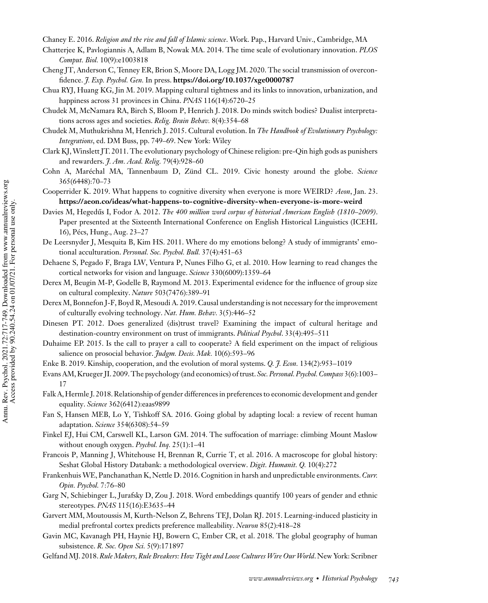Chaney E. 2016. *Religion and the rise and fall of Islamic science*. Work. Pap., Harvard Univ., Cambridge, MA

- Chatterjee K, Pavlogiannis A, Adlam B, Nowak MA. 2014. The time scale of evolutionary innovation. *PLOS Comput. Biol.* 10(9):e1003818
- Cheng JT, Anderson C, Tenney ER, Brion S, Moore DA, Logg JM. 2020. The social transmission of overconfidence. *J. Exp. Psychol. Gen.* In press. **https://doi.org/10.1037/xge0000787**
- Chua RYJ, Huang KG, Jin M. 2019. Mapping cultural tightness and its links to innovation, urbanization, and happiness across 31 provinces in China. *PNAS* 116(14):6720–25
- Chudek M, McNamara RA, Birch S, Bloom P, Henrich J. 2018. Do minds switch bodies? Dualist interpretations across ages and societies. *Relig. Brain Behav.* 8(4):354–68
- Chudek M, Muthukrishna M, Henrich J. 2015. Cultural evolution. In *The Handbook of Evolutionary Psychology: Integrations*, ed. DM Buss, pp. 749–69. New York: Wiley
- Clark KJ,Winslett JT. 2011. The evolutionary psychology of Chinese religion: pre-Qin high gods as punishers and rewarders. *J. Am. Acad. Relig.* 79(4):928–60
- Cohn A, Maréchal MA, Tannenbaum D, Zünd CL. 2019. Civic honesty around the globe. *Science* 365(6448):70–73
- Cooperrider K. 2019. What happens to cognitive diversity when everyone is more WEIRD? *Aeon*, Jan. 23. **https://aeon.co/ideas/what-happens-to-cognitive-diversity-when-everyone-is-more-weird**
- Davies M, Hegedűs I, Fodor A. 2012. *The 400 million word corpus of historical American English (1810–2009)*. Paper presented at the Sixteenth International Conference on English Historical Linguistics (ICEHL 16), Pécs, Hung., Aug. 23–27
- De Leersnyder J, Mesquita B, Kim HS. 2011. Where do my emotions belong? A study of immigrants' emotional acculturation. *Personal. Soc. Psychol. Bull.* 37(4):451–63
- Dehaene S, Pegado F, Braga LW, Ventura P, Nunes Filho G, et al. 2010. How learning to read changes the cortical networks for vision and language. *Science* 330(6009):1359–64
- Derex M, Beugin M-P, Godelle B, Raymond M. 2013. Experimental evidence for the influence of group size on cultural complexity. *Nature* 503(7476):389–91
- Derex M, Bonnefon J-F, Boyd R,Mesoudi A. 2019. Causal understanding is not necessary for the improvement of culturally evolving technology. *Nat. Hum. Behav.* 3(5):446–52
- Dinesen PT. 2012. Does generalized (dis)trust travel? Examining the impact of cultural heritage and destination-country environment on trust of immigrants. *Political Psychol*. 33(4):495–511
- Duhaime EP. 2015. Is the call to prayer a call to cooperate? A field experiment on the impact of religious salience on prosocial behavior. *Judgm. Decis. Mak.* 10(6):593–96
- Enke B. 2019. Kinship, cooperation, and the evolution of moral systems. *Q. J. Econ.* 134(2):953–1019
- Evans AM, Krueger JI. 2009. The psychology (and economics) of trust. *Soc. Personal. Psychol. Compass* 3(6):1003– 17
- Falk A,Hermle J. 2018. Relationship of gender differences in preferences to economic development and gender equality. *Science* 362(6412):eaas9899
- Fan S, Hansen MEB, Lo Y, Tishkoff SA. 2016. Going global by adapting local: a review of recent human adaptation. *Science* 354(6308):54–59
- Finkel EJ, Hui CM, Carswell KL, Larson GM. 2014. The suffocation of marriage: climbing Mount Maslow without enough oxygen. *Psychol. Inq.* 25(1):1–41
- Francois P, Manning J, Whitehouse H, Brennan R, Currie T, et al. 2016. A macroscope for global history: Seshat Global History Databank: a methodological overview. *Digit. Humanit. Q.* 10(4):272
- Frankenhuis WE, Panchanathan K, Nettle D. 2016. Cognition in harsh and unpredictable environments.*Curr. Opin. Psychol.* 7:76–80
- Garg N, Schiebinger L, Jurafsky D, Zou J. 2018. Word embeddings quantify 100 years of gender and ethnic stereotypes. *PNAS* 115(16):E3635–44
- Garvert MM, Moutoussis M, Kurth-Nelson Z, Behrens TEJ, Dolan RJ. 2015. Learning-induced plasticity in medial prefrontal cortex predicts preference malleability. *Neuron* 85(2):418–28
- Gavin MC, Kavanagh PH, Haynie HJ, Bowern C, Ember CR, et al. 2018. The global geography of human subsistence. *R. Soc. Open Sci.* 5(9):171897
- Gelfand MJ. 2018. Rule Makers, Rule Breakers: How Tight and Loose Cultures Wire Our World. New York: Scribner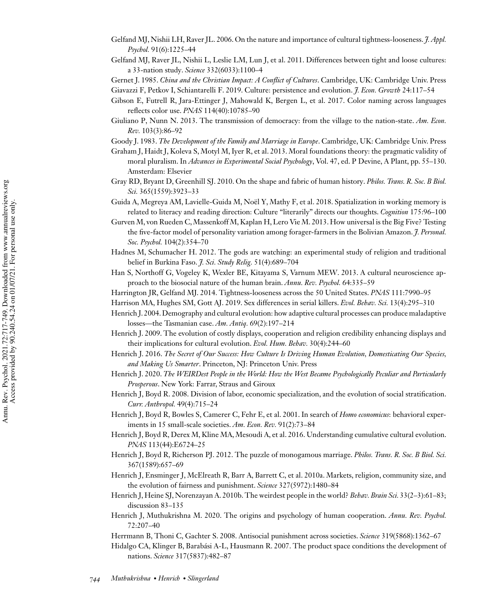- Gelfand MJ, Nishii LH, Raver JL. 2006. On the nature and importance of cultural tightness-looseness. *J. Appl. Psychol.* 91(6):1225–44
- Gelfand MJ, Raver JL, Nishii L, Leslie LM, Lun J, et al. 2011. Differences between tight and loose cultures: a 33-nation study. *Science* 332(6033):1100–4

Gernet J. 1985. *China and the Christian Impact: A Conflict of Cultures*. Cambridge, UK: Cambridge Univ. Press

- Gibson E, Futrell R, Jara-Ettinger J, Mahowald K, Bergen L, et al. 2017. Color naming across languages reflects color use. *PNAS* 114(40):10785–90
- Giuliano P, Nunn N. 2013. The transmission of democracy: from the village to the nation-state. *Am. Econ. Rev.* 103(3):86–92

Goody J. 1983. *The Development of the Family and Marriage in Europe*. Cambridge, UK: Cambridge Univ. Press

Graham J, Haidt J, Koleva S, Motyl M, Iyer R, et al. 2013. Moral foundations theory: the pragmatic validity of moral pluralism. In *Advances in Experimental Social Psychology*, Vol. 47, ed. P Devine, A Plant, pp. 55–130. Amsterdam: Elsevier

Gray RD, Bryant D, Greenhill SJ. 2010. On the shape and fabric of human history. *Philos. Trans. R. Soc. B Biol. Sci.* 365(1559):3923–33

- Guida A, Megreya AM, Lavielle-Guida M, Noël Y, Mathy F, et al. 2018. Spatialization in working memory is related to literacy and reading direction: Culture "literarily" directs our thoughts. *Cognition* 175:96–100
- Gurven M, von Rueden C,Massenkoff M, Kaplan H, Lero Vie M. 2013. How universal is the Big Five? Testing the five-factor model of personality variation among forager-farmers in the Bolivian Amazon. *J. Personal. Soc. Psychol.* 104(2):354–70
- Hadnes M, Schumacher H. 2012. The gods are watching: an experimental study of religion and traditional belief in Burkina Faso. *J. Sci. Study Relig.* 51(4):689–704
- Han S, Northoff G, Vogeley K, Wexler BE, Kitayama S, Varnum MEW. 2013. A cultural neuroscience approach to the biosocial nature of the human brain. *Annu. Rev. Psychol.* 64:335–59
- Harrington JR, Gelfand MJ. 2014. Tightness-looseness across the 50 United States. *PNAS* 111:7990–95
- Harrison MA, Hughes SM, Gott AJ. 2019. Sex differences in serial killers. *Evol. Behav. Sci.* 13(4):295–310
- Henrich J. 2004. Demography and cultural evolution: how adaptive cultural processes can produce maladaptive losses—the Tasmanian case. *Am. Antiq.* 69(2):197–214
- Henrich J. 2009. The evolution of costly displays, cooperation and religion credibility enhancing displays and their implications for cultural evolution. *Evol. Hum. Behav.* 30(4):244–60
- Henrich J. 2016. *The Secret of Our Success: How Culture Is Driving Human Evolution, Domesticating Our Species, and Making Us Smarter*. Princeton, NJ: Princeton Univ. Press
- Henrich J. 2020. *The WEIRDest People in the World: How the West Became Psychologically Peculiar and Particularly Prosperous*. New York: Farrar, Straus and Giroux
- Henrich J, Boyd R. 2008. Division of labor, economic specialization, and the evolution of social stratification. *Curr. Anthropol.* 49(4):715–24
- Henrich J, Boyd R, Bowles S, Camerer C, Fehr E, et al. 2001. In search of *Homo economicus*: behavioral experiments in 15 small-scale societies. *Am. Econ. Rev.* 91(2):73–84
- Henrich J, Boyd R, Derex M, Kline MA, Mesoudi A, et al. 2016. Understanding cumulative cultural evolution. *PNAS* 113(44):E6724–25
- Henrich J, Boyd R, Richerson PJ. 2012. The puzzle of monogamous marriage. *Philos. Trans. R. Soc. B Biol. Sci.* 367(1589):657–69
- Henrich J, Ensminger J, McElreath R, Barr A, Barrett C, et al. 2010a. Markets, religion, community size, and the evolution of fairness and punishment. *Science* 327(5972):1480–84
- Henrich J, Heine SJ, Norenzayan A. 2010b. The weirdest people in the world? *Behav. Brain Sci.* 33(2–3):61–83; discussion 83–135
- Henrich J, Muthukrishna M. 2020. The origins and psychology of human cooperation. *Annu. Rev. Psychol.* 72:207–40
- Herrmann B, Thoni C, Gachter S. 2008. Antisocial punishment across societies. *Science* 319(5868):1362–67
- Hidalgo CA, Klinger B, Barabási A-L, Hausmann R. 2007. The product space conditions the development of nations. *Science* 317(5837):482–87

Giavazzi F, Petkov I, Schiantarelli F. 2019. Culture: persistence and evolution. *J. Econ. Growth* 24:117–54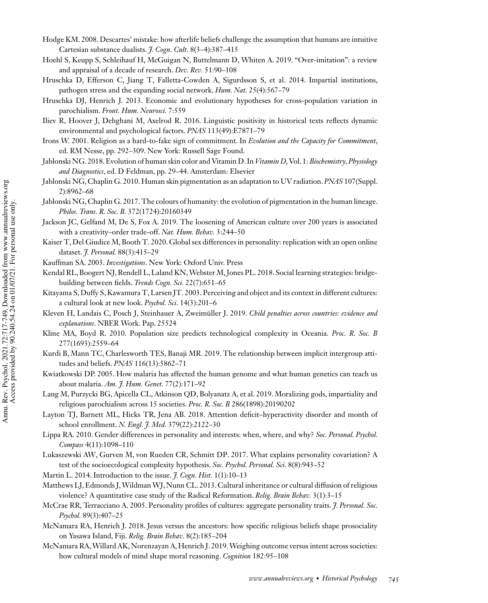- Hodge KM. 2008. Descartes' mistake: how afterlife beliefs challenge the assumption that humans are intuitive Cartesian substance dualists. *J. Cogn. Cult.* 8(3–4):387–415
- Hoehl S, Keupp S, Schleihauf H, McGuigan N, Buttelmann D, Whiten A. 2019. "Over-imitation": a review and appraisal of a decade of research. *Dev. Rev.* 51:90–108
- Hruschka D, Efferson C, Jiang T, Falletta-Cowden A, Sigurdsson S, et al. 2014. Impartial institutions, pathogen stress and the expanding social network. *Hum. Nat.* 25(4):567–79
- Hruschka DJ, Henrich J. 2013. Economic and evolutionary hypotheses for cross-population variation in parochialism. *Front. Hum. Neurosci.* 7:559
- Iliev R, Hoover J, Dehghani M, Axelrod R. 2016. Linguistic positivity in historical texts reflects dynamic environmental and psychological factors. *PNAS* 113(49):E7871–79
- Irons W. 2001. Religion as a hard-to-fake sign of commitment. In *Evolution and the Capacity for Commitment*, ed. RM Nesse, pp. 292–309. New York: Russell Sage Found.
- Jablonski NG. 2018. Evolution of human skin color and Vitamin D. In *Vitamin D*, Vol. 1: *Biochemistry, Physiology and Diagnostics*, ed. D Feldman, pp. 29–44. Amsterdam: Elsevier
- Jablonski NG, Chaplin G. 2010. Human skin pigmentation as an adaptation to UV radiation.*PNAS* 107(Suppl. 2):8962–68
- Jablonski NG, Chaplin G. 2017. The colours of humanity: the evolution of pigmentation in the human lineage. *Philos. Trans. R. Soc. B.* 372(1724):20160349
- Jackson JC, Gelfand M, De S, Fox A. 2019. The loosening of American culture over 200 years is associated with a creativity–order trade-off. *Nat. Hum. Behav.* 3:244–50
- Kaiser T, Del Giudice M, Booth T. 2020. Global sex differences in personality: replication with an open online dataset. *J. Personal.* 88(3):415–29
- Kauffman SA. 2003. *Investigations*. New York: Oxford Univ. Press
- Kendal RL, Boogert NJ, Rendell L, Laland KN,Webster M, Jones PL. 2018. Social learning strategies: bridgebuilding between fields. *Trends Cogn. Sci.* 22(7):651–65
- Kitayama S, Duffy S, Kawamura T, Larsen JT. 2003. Perceiving and object and its context in different cultures: a cultural look at new look. *Psychol. Sci.* 14(3):201–6
- Kleven H, Landais C, Posch J, Steinhauer A, Zweimüller J. 2019. *Child penalties across countries: evidence and explanations*. NBER Work. Pap. 25524
- Kline MA, Boyd R. 2010. Population size predicts technological complexity in Oceania. *Proc. R. Soc. B* 277(1693):2559–64
- Kurdi B, Mann TC, Charlesworth TES, Banaji MR. 2019. The relationship between implicit intergroup attitudes and beliefs. *PNAS* 116(13):5862–71
- Kwiatkowski DP. 2005. How malaria has affected the human genome and what human genetics can teach us about malaria. *Am. J. Hum. Genet.* 77(2):171–92
- Lang M, Purzycki BG, Apicella CL, Atkinson QD, Bolyanatz A, et al. 2019. Moralizing gods, impartiality and religious parochialism across 15 societies. *Proc. R. Soc. B* 286(1898):20190202
- Layton TJ, Barnett ML, Hicks TR, Jena AB. 2018. Attention deficit–hyperactivity disorder and month of school enrollment. *N. Engl. J. Med.* 379(22):2122–30
- Lippa RA. 2010. Gender differences in personality and interests: when, where, and why? *Soc. Personal. Psychol. Compass* 4(11):1098–110
- Lukaszewski AW, Gurven M, von Rueden CR, Schmitt DP. 2017. What explains personality covariation? A test of the socioecological complexity hypothesis. *Soc. Psychol. Personal. Sci.* 8(8):943–52
- Martin L. 2014. Introduction to the issue. *J. Cogn. Hist.* 1(1):10–13
- Matthews LJ, Edmonds J,Wildman WJ, Nunn CL. 2013. Cultural inheritance or cultural diffusion of religious violence? A quantitative case study of the Radical Reformation. *Relig. Brain Behav.* 3(1):3–15
- McCrae RR, Terracciano A. 2005. Personality profiles of cultures: aggregate personality traits. *J. Personal. Soc. Psychol.* 89(3):407–25
- McNamara RA, Henrich J. 2018. Jesus versus the ancestors: how specific religious beliefs shape prosociality on Yasawa Island, Fiji. *Relig. Brain Behav.* 8(2):185–204
- McNamara RA,Willard AK, Norenzayan A, Henrich J. 2019.Weighing outcome versus intent across societies: how cultural models of mind shape moral reasoning. *Cognition* 182:95–108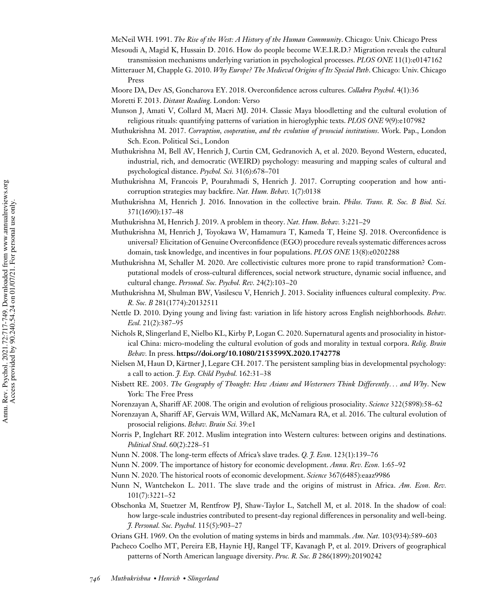McNeil WH. 1991. *The Rise of the West: A History of the Human Community*. Chicago: Univ. Chicago Press

- Mesoudi A, Magid K, Hussain D. 2016. How do people become W.E.I.R.D.? Migration reveals the cultural transmission mechanisms underlying variation in psychological processes. *PLOS ONE* 11(1):e0147162
- Mitterauer M, Chapple G. 2010. *Why Europe? The Medieval Origins of Its Special Path*. Chicago: Univ. Chicago Press
- Moore DA, Dev AS, Goncharova EY. 2018. Overconfidence across cultures. *Collabra Psychol*. 4(1):36
- Moretti F. 2013. *Distant Reading*. London: Verso
- Munson J, Amati V, Collard M, Macri MJ. 2014. Classic Maya bloodletting and the cultural evolution of religious rituals: quantifying patterns of variation in hieroglyphic texts. *PLOS ONE* 9(9):e107982
- Muthukrishna M. 2017. *Corruption, cooperation, and the evolution of prosocial institutions*. Work. Pap., London Sch. Econ. Political Sci., London
- Muthukrishna M, Bell AV, Henrich J, Curtin CM, Gedranovich A, et al. 2020. Beyond Western, educated, industrial, rich, and democratic (WEIRD) psychology: measuring and mapping scales of cultural and psychological distance. *Psychol. Sci.* 31(6):678–701
- Muthukrishna M, Francois P, Pourahmadi S, Henrich J. 2017. Corrupting cooperation and how anticorruption strategies may backfire. *Nat. Hum. Behav.* 1(7):0138
- Muthukrishna M, Henrich J. 2016. Innovation in the collective brain. *Philos. Trans. R. Soc. B Biol. Sci.* 371(1690):137–48
- Muthukrishna M, Henrich J. 2019. A problem in theory. *Nat. Hum. Behav.* 3:221–29
- Muthukrishna M, Henrich J, Toyokawa W, Hamamura T, Kameda T, Heine SJ. 2018. Overconfidence is universal? Elicitation of Genuine Overconfidence (EGO) procedure reveals systematic differences across domain, task knowledge, and incentives in four populations. *PLOS ONE* 13(8):e0202288
- Muthukrishna M, Schaller M. 2020. Are collectivistic cultures more prone to rapid transformation? Computational models of cross-cultural differences, social network structure, dynamic social influence, and cultural change. *Personal. Soc. Psychol. Rev.* 24(2):103–20
- Muthukrishna M, Shulman BW, Vasilescu V, Henrich J. 2013. Sociality influences cultural complexity. *Proc. R. Soc. B* 281(1774):20132511
- Nettle D. 2010. Dying young and living fast: variation in life history across English neighborhoods. *Behav. Ecol.* 21(2):387–95
- Nichols R, Slingerland E, Nielbo KL, Kirby P, Logan C. 2020. Supernatural agents and prosociality in historical China: micro-modeling the cultural evolution of gods and morality in textual corpora. *Relig. Brain Behav.* In press. **https://doi.org/10.1080/2153599X.2020.1742778**
- Nielsen M, Haun D, Kärtner J, Legare CH. 2017. The persistent sampling bias in developmental psychology: a call to action. *J. Exp. Child Psychol.* 162:31–38
- Nisbett RE. 2003. *The Geography of Thought: How Asians and Westerners Think Differently*... *and Why*. New York: The Free Press
- Norenzayan A, Shariff AF. 2008. The origin and evolution of religious prosociality. *Science* 322(5898):58–62
- Norenzayan A, Shariff AF, Gervais WM, Willard AK, McNamara RA, et al. 2016. The cultural evolution of prosocial religions. *Behav. Brain Sci.* 39:e1
- Norris P, Inglehart RF. 2012. Muslim integration into Western cultures: between origins and destinations. *Political Stud*. 60(2):228–51
- Nunn N. 2008. The long-term effects of Africa's slave trades. *Q. J. Econ.* 123(1):139–76
- Nunn N. 2009. The importance of history for economic development. *Annu. Rev. Econ.* 1:65–92
- Nunn N. 2020. The historical roots of economic development. *Science* 367(6485):eaaz9986
- Nunn N, Wantchekon L. 2011. The slave trade and the origins of mistrust in Africa. *Am. Econ. Rev.* 101(7):3221–52
- Obschonka M, Stuetzer M, Rentfrow PJ, Shaw-Taylor L, Satchell M, et al. 2018. In the shadow of coal: how large-scale industries contributed to present-day regional differences in personality and well-being. *J. Personal. Soc. Psychol.* 115(5):903–27
- Orians GH. 1969. On the evolution of mating systems in birds and mammals. *Am. Nat.* 103(934):589–603
- Pacheco Coelho MT, Pereira EB, Haynie HJ, Rangel TF, Kavanagh P, et al. 2019. Drivers of geographical patterns of North American language diversity. *Proc. R. Soc. B* 286(1899):20190242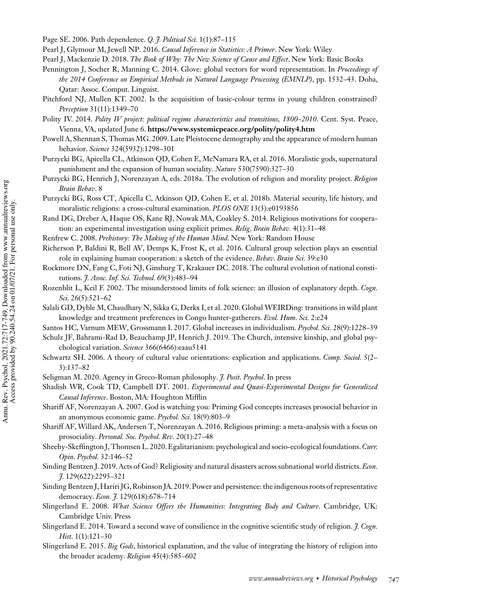- Page SE. 2006. Path dependence. *Q. J. Political Sci.* 1(1):87–115
- Pearl J, Glymour M, Jewell NP. 2016. *Causal Inference in Statistics: A Primer*. New York: Wiley
- Pearl J, Mackenzie D. 2018. *The Book of Why: The New Science of Cause and Effect*. New York: Basic Books
- Pennington J, Socher R, Manning C. 2014. Glove: global vectors for word representation. In *Proceedings of the 2014 Conference on Empirical Methods in Natural Language Processing (EMNLP)*, pp. 1532–43. Doha, Qatar: Assoc. Comput. Linguist.
- Pitchford NJ, Mullen KT. 2002. Is the acquisition of basic-colour terms in young children constrained? *Perception* 31(11):1349–70
- Polity IV. 2014. *Polity IV project: political regime characteristics and transitions, 1800–2010*. Cent. Syst. Peace, Vienna, VA, updated June 6. **https://www.systemicpeace.org/polity/polity4.htm**
- Powell A, Shennan S, Thomas MG. 2009. Late Pleistocene demography and the appearance of modern human behavior. *Science* 324(5932):1298–301
- Purzycki BG, Apicella CL, Atkinson QD, Cohen E, McNamara RA, et al. 2016. Moralistic gods, supernatural punishment and the expansion of human sociality. *Nature* 530(7590):327–30
- Purzycki BG, Henrich J, Norenzayan A, eds. 2018a. The evolution of religion and morality project. *Religion Brain Behav*. 8
- Purzycki BG, Ross CT, Apicella C, Atkinson QD, Cohen E, et al. 2018b. Material security, life history, and moralistic religions: a cross-cultural examination. *PLOS ONE* 13(3):e0193856
- Rand DG, Dreber A, Haque OS, Kane RJ, Nowak MA, Coakley S. 2014. Religious motivations for cooperation: an experimental investigation using explicit primes. *Relig. Brain Behav.* 4(1):31–48
- Renfrew C. 2008. *Prehistory: The Making of the Human Mind*. New York: Random House
- Richerson P, Baldini R, Bell AV, Demps K, Frost K, et al. 2016. Cultural group selection plays an essential role in explaining human cooperation: a sketch of the evidence. *Behav. Brain Sci.* 39:e30
- Rockmore DN, Fang C, Foti NJ, Ginsburg T, Krakauer DC. 2018. The cultural evolution of national constitutions. *J. Assoc. Inf. Sci. Technol.* 69(3):483–94
- Rozenblit L, Keil F. 2002. The misunderstood limits of folk science: an illusion of explanatory depth. *Cogn. Sci.* 26(5):521–62
- Salali GD, Dyble M, Chaudhary N, Sikka G, Derkx I, et al. 2020. Global WEIRDing: transitions in wild plant knowledge and treatment preferences in Congo hunter-gatherers. *Evol. Hum. Sci.* 2:e24
- Santos HC, Varnum MEW, Grossmann I. 2017. Global increases in individualism. *Psychol. Sci.* 28(9):1228–39
- Schulz JF, Bahrami-Rad D, Beauchamp JP, Henrich J. 2019. The Church, intensive kinship, and global psychological variation. *Science* 366(6466):eaau5141
- Schwartz SH. 2006. A theory of cultural value orientations: explication and applications. *Comp. Sociol.* 5(2– 3):137–82
- Seligman M. 2020. Agency in Greco-Roman philosophy. *J. Posit. Psychol*. In press
- Shadish WR, Cook TD, Campbell DT. 2001. *Experimental and Quasi-Experimental Designs for Generalized Causal Inference*. Boston, MA: Houghton Mifflin
- Shariff AF, Norenzayan A. 2007. God is watching you: Priming God concepts increases prosocial behavior in an anonymous economic game. *Psychol. Sci.* 18(9):803–9
- Shariff AF, Willard AK, Andersen T, Norenzayan A. 2016. Religious priming: a meta-analysis with a focus on prosociality. *Personal. Soc. Psychol. Rev.* 20(1):27–48
- Sheehy-Skeffington J, Thomsen L. 2020. Egalitarianism: psychological and socio-ecological foundations.*Curr. Opin. Psychol.* 32:146–52
- Sinding Bentzen J. 2019. Acts of God? Religiosity and natural disasters across subnational world districts. *Econ. J.* 129(622):2295–321
- Sinding Bentzen J,Hariri JG, Robinson JA. 2019. Power and persistence: the indigenous roots of representative democracy. *Econ. J.* 129(618):678–714
- Slingerland E. 2008. *What Science Offers the Humanities: Integrating Body and Culture*. Cambridge, UK: Cambridge Univ. Press
- Slingerland E. 2014. Toward a second wave of consilience in the cognitive scientific study of religion. *J. Cogn. Hist.* 1(1):121–30
- Slingerland E. 2015. *Big Gods*, historical explanation, and the value of integrating the history of religion into the broader academy. *Religion* 45(4):585–602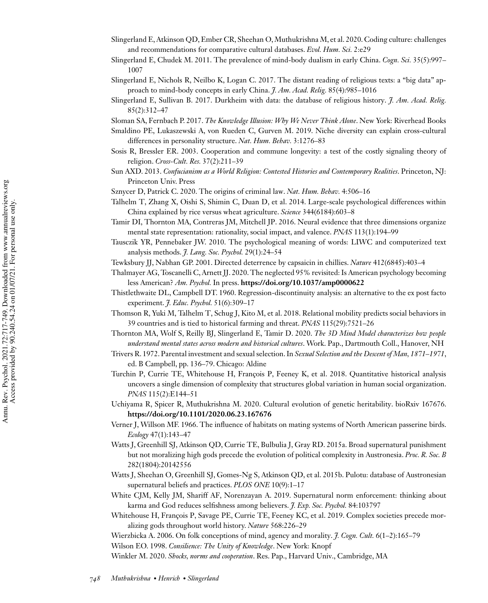- Slingerland E, Atkinson QD, Ember CR, Sheehan O, Muthukrishna M, et al. 2020. Coding culture: challenges and recommendations for comparative cultural databases. *Evol. Hum. Sci.* 2:e29
- Slingerland E, Chudek M. 2011. The prevalence of mind-body dualism in early China. *Cogn. Sci.* 35(5):997– 1007
- Slingerland E, Nichols R, Neilbo K, Logan C. 2017. The distant reading of religious texts: a "big data" approach to mind-body concepts in early China. *J. Am. Acad. Relig.* 85(4):985–1016
- Slingerland E, Sullivan B. 2017. Durkheim with data: the database of religious history. *J. Am. Acad. Relig.* 85(2):312–47
- Sloman SA, Fernbach P. 2017. *The Knowledge Illusion: Why We Never Think Alone*. New York: Riverhead Books
- Smaldino PE, Lukaszewski A, von Rueden C, Gurven M. 2019. Niche diversity can explain cross-cultural differences in personality structure. *Nat. Hum. Behav.* 3:1276–83
- Sosis R, Bressler ER. 2003. Cooperation and commune longevity: a test of the costly signaling theory of religion. *Cross-Cult. Res.* 37(2):211–39
- Sun AXD. 2013. *Confucianism as a World Religion: Contested Histories and Contemporary Realities*. Princeton, NJ: Princeton Univ. Press
- Sznycer D, Patrick C. 2020. The origins of criminal law. *Nat. Hum. Behav.* 4:506–16
- Talhelm T, Zhang X, Oishi S, Shimin C, Duan D, et al. 2014. Large-scale psychological differences within China explained by rice versus wheat agriculture. *Science* 344(6184):603–8
- Tamir DI, Thornton MA, Contreras JM, Mitchell JP. 2016. Neural evidence that three dimensions organize mental state representation: rationality, social impact, and valence. *PNAS* 113(1):194–99
- Tausczik YR, Pennebaker JW. 2010. The psychological meaning of words: LIWC and computerized text analysis methods. *J. Lang. Soc. Psychol.* 29(1):24–54
- Tewksbury JJ, Nabhan GP. 2001. Directed deterrence by capsaicin in chillies. *Nature* 412(6845):403–4
- Thalmayer AG, Toscanelli C, Arnett JJ. 2020. The neglected 95% revisited: Is American psychology becoming less American? *Am. Psychol.* In press. **https://doi.org/10.1037/amp0000622**
- Thistlethwaite DL, Campbell DT. 1960. Regression-discontinuity analysis: an alternative to the ex post facto experiment. *J. Educ. Psychol.* 51(6):309–17
- Thomson R, Yuki M, Talhelm T, Schug J, Kito M, et al. 2018. Relational mobility predicts social behaviors in 39 countries and is tied to historical farming and threat. *PNAS* 115(29):7521–26
- Thornton MA, Wolf S, Reilly BJ, Slingerland E, Tamir D. 2020. *The 3D Mind Model characterizes how people understand mental states across modern and historical cultures*. Work. Pap., Dartmouth Coll., Hanover, NH
- Trivers R. 1972. Parental investment and sexual selection. In *Sexual Selection and the Descent of Man, 1871–1971*, ed. B Campbell, pp. 136–79. Chicago: Aldine
- Turchin P, Currie TE, Whitehouse H, François P, Feeney K, et al. 2018. Quantitative historical analysis uncovers a single dimension of complexity that structures global variation in human social organization. *PNAS* 115(2):E144–51
- Uchiyama R, Spicer R, Muthukrishna M. 2020. Cultural evolution of genetic heritability. bioRxiv 167676. **https://doi.org/10.1101/2020.06.23.167676**
- Verner J, Willson MF. 1966. The influence of habitats on mating systems of North American passerine birds. *Ecology* 47(1):143–47
- Watts J, Greenhill SJ, Atkinson QD, Currie TE, Bulbulia J, Gray RD. 2015a. Broad supernatural punishment but not moralizing high gods precede the evolution of political complexity in Austronesia. *Proc. R. Soc. B* 282(1804):20142556
- Watts J, Sheehan O, Greenhill SJ, Gomes-Ng S, Atkinson QD, et al. 2015b. Pulotu: database of Austronesian supernatural beliefs and practices. *PLOS ONE* 10(9):1–17
- White CJM, Kelly JM, Shariff AF, Norenzayan A. 2019. Supernatural norm enforcement: thinking about karma and God reduces selfishness among believers. *J. Exp. Soc. Psychol.* 84:103797
- Whitehouse H, François P, Savage PE, Currie TE, Feeney KC, et al. 2019. Complex societies precede moralizing gods throughout world history. *Nature* 568:226–29

Wierzbicka A. 2006. On folk conceptions of mind, agency and morality. *J. Cogn. Cult.* 6(1–2):165–79

Wilson EO. 1998. *Consilience: The Unity of Knowledge*. New York: Knopf

Winkler M. 2020. *Shocks, norms and cooperation*. Res. Pap., Harvard Univ., Cambridge, MA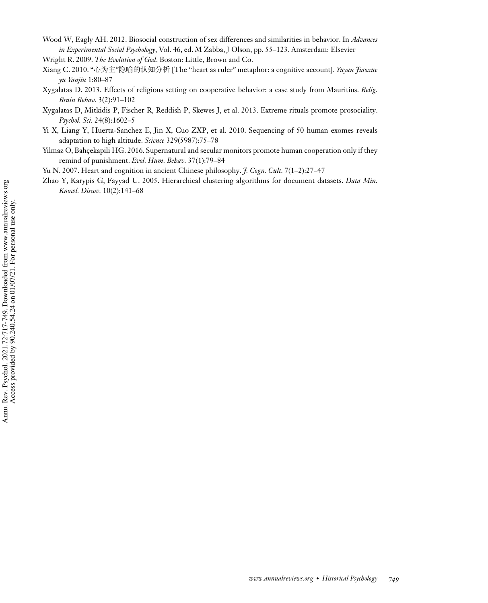- Wood W, Eagly AH. 2012. Biosocial construction of sex differences and similarities in behavior. In *Advances in Experimental Social Psychology*, Vol. 46, ed. M Zabba, J Olson, pp. 55–123. Amsterdam: Elsevier
- Wright R. 2009. *The Evolution of God*. Boston: Little, Brown and Co.
- Xiang C. 2010. "心为主"隐喻的认知分析 [The "heart as ruler" metaphor: a cognitive account]. *Yuyan Jiaoxue yu Yanjiu* 1:80–87
- Xygalatas D. 2013. Effects of religious setting on cooperative behavior: a case study from Mauritius. *Relig. Brain Behav.* 3(2):91–102
- Xygalatas D, Mitkidis P, Fischer R, Reddish P, Skewes J, et al. 2013. Extreme rituals promote prosociality. *Psychol. Sci.* 24(8):1602–5
- Yi X, Liang Y, Huerta-Sanchez E, Jin X, Cuo ZXP, et al. 2010. Sequencing of 50 human exomes reveals adaptation to high altitude. *Science* 329(5987):75–78
- Yilmaz O, Bahçekapili HG. 2016. Supernatural and secular monitors promote human cooperation only if they remind of punishment. *Evol. Hum. Behav.* 37(1):79–84
- Yu N. 2007. Heart and cognition in ancient Chinese philosophy. *J. Cogn. Cult.* 7(1–2):27–47
- Zhao Y, Karypis G, Fayyad U. 2005. Hierarchical clustering algorithms for document datasets. *Data Min. Knowl. Discov.* 10(2):141–68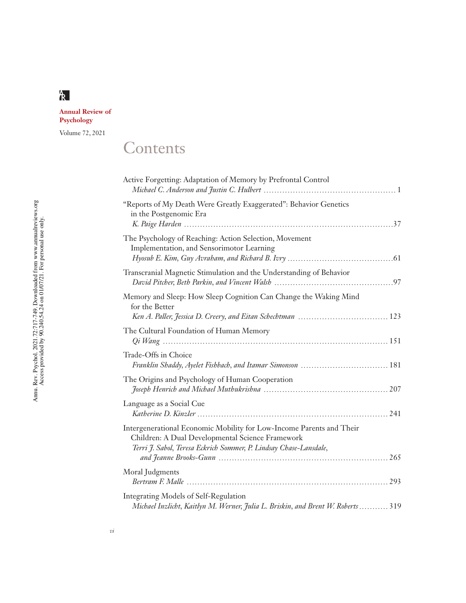# **Annual Review of Psychology**

Volume 72, 2021

# **Contents**

| Active Forgetting: Adaptation of Memory by Prefrontal Control                                                                                                                                 |
|-----------------------------------------------------------------------------------------------------------------------------------------------------------------------------------------------|
| "Reports of My Death Were Greatly Exaggerated": Behavior Genetics<br>in the Postgenomic Era                                                                                                   |
| The Psychology of Reaching: Action Selection, Movement<br>Implementation, and Sensorimotor Learning                                                                                           |
| Transcranial Magnetic Stimulation and the Understanding of Behavior                                                                                                                           |
| Memory and Sleep: How Sleep Cognition Can Change the Waking Mind<br>for the Better                                                                                                            |
| The Cultural Foundation of Human Memory                                                                                                                                                       |
| Trade-Offs in Choice                                                                                                                                                                          |
| The Origins and Psychology of Human Cooperation                                                                                                                                               |
| Language as a Social Cue                                                                                                                                                                      |
| Intergenerational Economic Mobility for Low-Income Parents and Their<br>Children: A Dual Developmental Science Framework<br>Terri J. Sabol, Teresa Eckrich Sommer, P. Lindsay Chase-Lansdale, |
| Moral Judgments                                                                                                                                                                               |
| Integrating Models of Self-Regulation<br>Michael Inzlicht, Kaitlyn M. Werner, Julia L. Briskin, and Brent W. Roberts  319                                                                     |